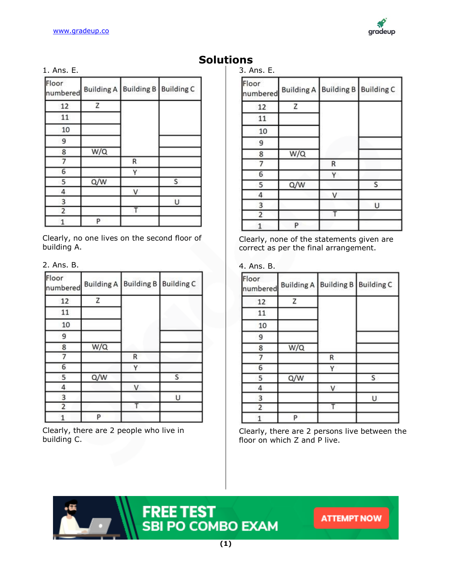

# 1. Ans. E.

| Floor<br>numbered |     | Building A   Building B   Building C |   |
|-------------------|-----|--------------------------------------|---|
| 12                | Z   |                                      |   |
| 11                |     |                                      |   |
| 10                |     |                                      |   |
| 9                 |     |                                      |   |
| 8                 | W/Q |                                      |   |
|                   |     | R                                    |   |
| 6                 |     | Y                                    |   |
| 5                 | Q/W |                                      | S |
| 4                 |     | V                                    |   |
| 3                 |     |                                      | U |
| 2                 |     |                                      |   |
|                   | P   |                                      |   |

Clearly, no one lives on the second floor of building A.

2. Ans. B.

| Floor<br>numbered |     | Building A   Building B   Building C |   |
|-------------------|-----|--------------------------------------|---|
| 12                | Z   |                                      |   |
| 11                |     |                                      |   |
| 10                |     |                                      |   |
| 9                 |     |                                      |   |
| 8                 | W/Q |                                      |   |
|                   |     | $\mathsf{R}$                         |   |
| 6                 |     | γ                                    |   |
| 5                 | Q/W |                                      | S |
| 4                 |     | $\vee$                               |   |
| 3                 |     |                                      | U |
| $\overline{2}$    |     |                                      |   |
|                   | P   |                                      |   |

Clearly, there are 2 people who live in building C.

**Solutions** 3. Ans. E.

| Floor<br>numbered |     | Building A   Building B   Building C |        |
|-------------------|-----|--------------------------------------|--------|
| 12                | Z   |                                      |        |
| 11                |     |                                      |        |
| 10                |     |                                      |        |
| 9                 |     |                                      |        |
| 8                 | W/Q |                                      |        |
| 7                 |     | $\mathsf{R}$                         |        |
| 6                 |     | γ                                    |        |
| 5                 | Q/W |                                      | S      |
| 4                 |     | V                                    |        |
| 3                 |     |                                      | $\cup$ |
| 2                 |     |                                      |        |
| 1                 | P   |                                      |        |

Clearly, none of the statements given are correct as per the final arrangement.

# 4. Ans. B.

| Floor<br>numbered | <b>Building A</b> | <b>Building B</b> | <b>Building C</b> |
|-------------------|-------------------|-------------------|-------------------|
| 12                | Z                 |                   |                   |
| 11                |                   |                   |                   |
| 10                |                   |                   |                   |
| 9                 |                   |                   |                   |
| 8                 | W/Q               |                   |                   |
|                   |                   | R                 |                   |
| 6                 |                   | ٧                 |                   |
| 5                 | Q/W               |                   | S                 |
| 4                 |                   | V                 |                   |
| 3                 |                   |                   | U                 |
| 2                 |                   |                   |                   |
|                   | P                 |                   |                   |

Clearly, there are 2 persons live between the floor on which Z and P live.

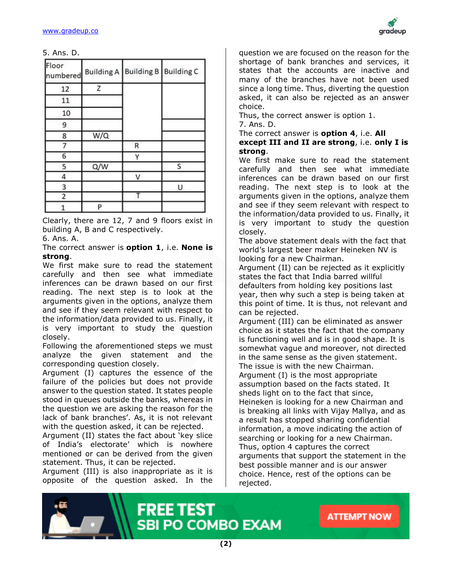

5. Ans. D.

| Floor<br>numbered |     | Building A   Building B   Building C |   |
|-------------------|-----|--------------------------------------|---|
| 12                | Z   |                                      |   |
| 11                |     |                                      |   |
| 10                |     |                                      |   |
| 9                 |     |                                      |   |
| 8                 | W/Q |                                      |   |
|                   |     | R                                    |   |
| 6                 |     | ٧                                    |   |
| 5                 | Q/W |                                      | S |
| 4                 |     | V                                    |   |
| 3                 |     |                                      | U |
|                   |     |                                      |   |
|                   | P   |                                      |   |

Clearly, there are 12, 7 and 9 floors exist in building A, B and C respectively.

6. Ans. A.

The correct answer is **option 1**, i.e. **None is strong**.

We first make sure to read the statement carefully and then see what immediate inferences can be drawn based on our first reading. The next step is to look at the arguments given in the options, analyze them and see if they seem relevant with respect to the information/data provided to us. Finally, it is very important to study the question closely.

Following the aforementioned steps we must analyze the given statement and the corresponding question closely.

Argument (I) captures the essence of the failure of the policies but does not provide answer to the question stated. It states people stood in queues outside the banks, whereas in the question we are asking the reason for the lack of bank branches'. As, it is not relevant with the question asked, it can be rejected.

Argument (II) states the fact about 'key slice of India's electorate' which is nowhere mentioned or can be derived from the given statement. Thus, it can be rejected.

Argument (III) is also inappropriate as it is opposite of the question asked. In the

question we are focused on the reason for the shortage of bank branches and services, it states that the accounts are inactive and many of the branches have not been used since a long time. Thus, diverting the question asked, it can also be rejected as an answer choice.

Thus, the correct answer is option 1.

7. Ans. D.

The correct answer is **option 4**, i.e. **All except III and II are strong**, i.e. **only I is strong**.

We first make sure to read the statement carefully and then see what immediate inferences can be drawn based on our first reading. The next step is to look at the arguments given in the options, analyze them and see if they seem relevant with respect to the information/data provided to us. Finally, it is very important to study the question closely.

The above statement deals with the fact that world's largest beer maker Heineken NV is looking for a new Chairman.

Argument (II) can be rejected as it explicitly states the fact that India barred willful defaulters from holding key positions last year, then why such a step is being taken at this point of time. It is thus, not relevant and can be rejected.

Argument (III) can be eliminated as answer choice as it states the fact that the company is functioning well and is in good shape. It is somewhat vague and moreover, not directed in the same sense as the given statement. The issue is with the new Chairman. Argument (I) is the most appropriate assumption based on the facts stated. It sheds light on to the fact that since, Heineken is looking for a new Chairman and is breaking all links with Vijay Mallya, and as a result has stopped sharing confidential information, a move indicating the action of searching or looking for a new Chairman. Thus, option 4 captures the correct arguments that support the statement in the best possible manner and is our answer choice. Hence, rest of the options can be rejected.

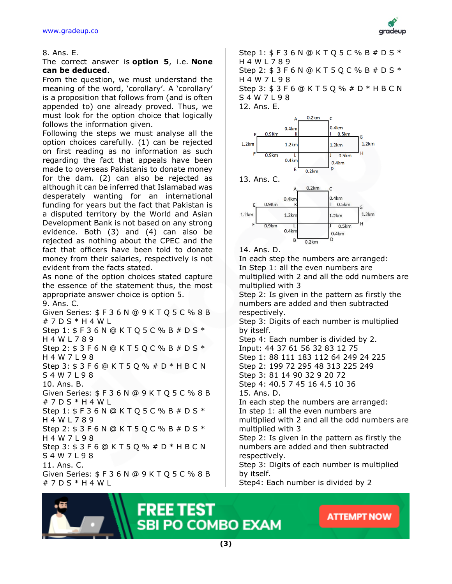

#### 8. Ans. E.

#### The correct answer is **option 5**, i.e. **None can be deduced**.

From the question, we must understand the meaning of the word, 'corollary'. A 'corollary' is a proposition that follows from (and is often appended to) one already proved. Thus, we must look for the option choice that logically follows the information given.

Following the steps we must analyse all the option choices carefully. (1) can be rejected on first reading as no information as such regarding the fact that appeals have been made to overseas Pakistanis to donate money for the dam. (2) can also be rejected as although it can be inferred that Islamabad was desperately wanting for an international funding for years but the fact that Pakistan is a disputed territory by the World and Asian Development Bank is not based on any strong evidence. Both (3) and (4) can also be rejected as nothing about the CPEC and the fact that officers have been told to donate money from their salaries, respectively is not evident from the facts stated.

As none of the option choices stated capture the essence of the statement thus, the most appropriate answer choice is option 5. 9. Ans. C.

Given Series: \$ F 3 6 N @ 9 K T Q 5 C % 8 B # 7 D S \* H 4 W L Step 1: \$ F 3 6 N @ K T Q 5 C % B # D S \* H 4 W L 7 8 9 Step 2: \$ 3 F 6 N @ K T 5 Q C % B # D S \* H 4 W 7 L 9 8 Step 3: \$ 3 F 6 @ K T 5 Q % # D \* H B C N S 4 W 7 L 9 8 10. Ans. B. Given Series: \$ F 3 6 N @ 9 K T Q 5 C % 8 B # 7 D S \* H 4 W L Step 1: \$ F 3 6 N @ K T Q 5 C % B # D S \* H 4 W L 7 8 9 Step 2: \$ 3 F 6 N @ K T 5 Q C % B # D S \* H 4 W 7 L 9 8 Step 3: \$ 3 F 6 @ K T 5 Q % # D \* H B C N S 4 W 7 L 9 8 11. Ans. C. Given Series: \$ F 3 6 N @ 9 K T Q 5 C % 8 B # 7 D S \* H 4 W L

Step 1: \$ F 3 6 N @ K T Q 5 C % B # D S \* H 4 W L 7 8 9 Step 2: \$ 3 F 6 N @ K T 5 Q C % B # D S \* H 4 W 7 L 9 8 Step 3: \$ 3 F 6 @ K T 5 Q % # D \* H B C N S 4 W 7 L 9 8 12. Ans. E.



14. Ans. D.

In each step the numbers are arranged: In Step 1: all the even numbers are multiplied with 2 and all the odd numbers are multiplied with 3 Step 2: Is given in the pattern as firstly the

numbers are added and then subtracted respectively.

Step 3: Digits of each number is multiplied by itself.

Step 4: Each number is divided by 2. Input: 44 37 61 56 32 83 12 75 Step 1: 88 111 183 112 64 249 24 225 Step 2: 199 72 295 48 313 225 249 Step 3: 81 14 90 32 9 20 72 Step 4: 40.5 7 45 16 4.5 10 36 15. Ans. D. In each step the numbers are arranged: In step 1: all the even numbers are multiplied with 2 and all the odd numbers are multiplied with 3 Step 2: Is given in the pattern as firstly the numbers are added and then subtracted respectively.

Step 3: Digits of each number is multiplied by itself.

Step4: Each number is divided by 2



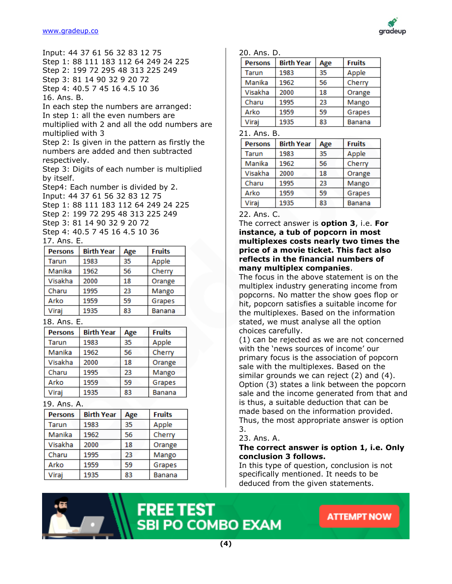

Input: 44 37 61 56 32 83 12 75 Step 1: 88 111 183 112 64 249 24 225 Step 2: 199 72 295 48 313 225 249 Step 3: 81 14 90 32 9 20 72 Step 4: 40.5 7 45 16 4.5 10 36 16. Ans. B.

In each step the numbers are arranged: In step 1: all the even numbers are multiplied with 2 and all the odd numbers are multiplied with 3

Step 2: Is given in the pattern as firstly the numbers are added and then subtracted respectively.

Step 3: Digits of each number is multiplied by itself.

Step4: Each number is divided by 2. Input: 44 37 61 56 32 83 12 75 Step 1: 88 111 183 112 64 249 24 225 Step 2: 199 72 295 48 313 225 249 Step 3: 81 14 90 32 9 20 72 Step 4: 40.5 7 45 16 4.5 10 36

#### 17. Ans. E.

| <b>Persons</b> | <b>Birth Year</b> | Age | <b>Fruits</b> |
|----------------|-------------------|-----|---------------|
| <b>Tarun</b>   | 1983              | 35  | Apple         |
| Manika         | 1962              | 56  | Cherry        |
| Visakha        | 2000              | 18  | Orange        |
| Charu          | 1995              | 23  | Mango         |
| Arko           | 1959              | 59  | Grapes        |
| Viraj          | 1935              | 83  | <b>Banana</b> |

# 18. Ans. E.

| <b>Persons</b> | <b>Birth Year</b> | Age | <b>Fruits</b> |
|----------------|-------------------|-----|---------------|
| Tarun          | 1983              | 35  | Apple         |
| Manika         | 1962              | 56  | Cherry        |
| Visakha        | 2000              | 18  | Orange        |
| Charu          | 1995              | 23  | Mango         |
| Arko           | 1959              | 59  | Grapes        |
| Viraj          | 1935              | 83  | Banana        |

# 19. Ans. A.

| <b>Persons</b> | <b>Birth Year</b> | Age | <b>Fruits</b> |
|----------------|-------------------|-----|---------------|
| Tarun          | 1983              | 35  | Apple         |
| Manika         | 1962              | 56  | Cherry        |
| Visakha        | 2000              | 18  | Orange        |
| Charu          | 1995              | 23  | Mango         |
| Arko           | 1959              | 59  | Grapes        |
| Viraj          | 1935              | 83  | Banana        |

#### 20. Ans. D.

| <b>Persons</b>           | <b>Birth Year</b> | Age | <b>Fruits</b> |
|--------------------------|-------------------|-----|---------------|
| Tarun                    | 1983              | 35  | Apple         |
| Manika                   | 1962              | 56  | Cherry        |
| Visakha                  | 2000              | 18  | Orange        |
| Charu                    | 1995              | 23  | Mango         |
| Arko                     | 1959              | 59  | Grapes        |
| Viraj                    | 1935              | 83  | Banana        |
| . .<br>$\mathbf{a}$<br>- |                   |     |               |

21. Ans. B.

| <b>Persons</b> | <b>Birth Year</b> | Age | <b>Fruits</b> |
|----------------|-------------------|-----|---------------|
| <b>Tarun</b>   | 1983              | 35  | Apple         |
| Manika         | 1962              | 56  | Cherry        |
| Visakha        | 2000              | 18  | Orange        |
| Charu          | 1995              | 23  | Mango         |
| Arko           | 1959              | 59  | Grapes        |
| Viraj          | 1935              | 83  | <b>Banana</b> |

22. Ans. C.

The correct answer is **option 3**, i.e. **For instance, a tub of popcorn in most multiplexes costs nearly two times the price of a movie ticket. This fact also reflects in the financial numbers of many multiplex companies**.

The focus in the above statement is on the multiplex industry generating income from popcorns. No matter the show goes flop or hit, popcorn satisfies a suitable income for the multiplexes. Based on the information stated, we must analyse all the option choices carefully.

(1) can be rejected as we are not concerned with the 'news sources of income' our primary focus is the association of popcorn sale with the multiplexes. Based on the similar grounds we can reject (2) and (4). Option (3) states a link between the popcorn sale and the income generated from that and is thus, a suitable deduction that can be made based on the information provided. Thus, the most appropriate answer is option 3.

23. Ans. A.

#### **The correct answer is option 1, i.e. Only conclusion 3 follows.**

In this type of question, conclusion is not specifically mentioned. It needs to be deduced from the given statements.

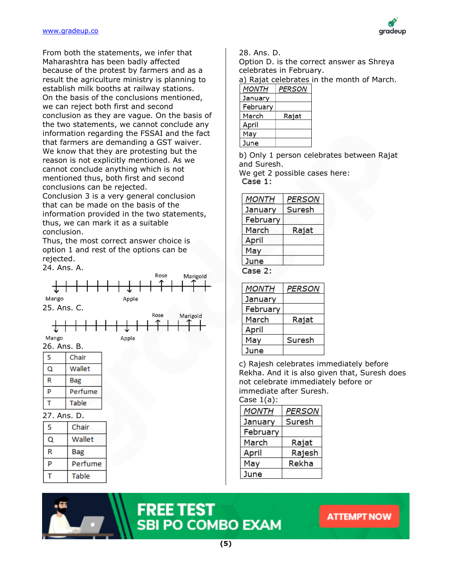

From both the statements, we infer that Maharashtra has been badly affected because of the protest by farmers and as a result the agriculture ministry is planning to establish milk booths at railway stations. On the basis of the conclusions mentioned, we can reject both first and second conclusion as they are vague. On the basis of the two statements, we cannot conclude any information regarding the FSSAI and the fact that farmers are demanding a GST waiver. We know that they are protesting but the reason is not explicitly mentioned. As we cannot conclude anything which is not mentioned thus, both first and second conclusions can be rejected. Conclusion 3 is a very general conclusion that can be made on the basis of the information provided in the two statements, thus, we can mark it as a suitable

conclusion. Thus, the most correct answer choice is

option 1 and rest of the options can be rejected.

24. Ans. A.



Option D. is the correct answer as Shreya celebrates in February.

a) Rajat celebrates in the month of March.

| <i>MONTH</i> | PERSON |  |
|--------------|--------|--|
|--------------|--------|--|

| Januarv  |       |
|----------|-------|
| February |       |
| March    | Rajat |
| April    |       |
| Mav      |       |
| June     |       |

b) Only 1 person celebrates between Rajat and Suresh.

We get 2 possible cases here:  $Case 1:$ 

| MONTH    | <b>PERSON</b> |
|----------|---------------|
| January  | Suresh        |
| February |               |
| March    | Rajat         |
| April    |               |
| May      |               |
| June     |               |
|          |               |

Case 2:

| <b>MONTH</b> | PERSON |
|--------------|--------|
| January      |        |
| February     |        |
| March        | Rajat  |
| April        |        |
| May          | Suresh |
| June         |        |

c) Rajesh celebrates immediately before Rekha. And it is also given that, Suresh does not celebrate immediately before or immediate after Suresh.

Case  $1(a)$ :

| MONTH    | PERSON |
|----------|--------|
| January  | Suresh |
| February |        |
| March    | Rajat  |
| April    | Rajesh |
| May      | Rekha  |
| June     |        |



Table

т

# **FREE TEST<br>SBI PO COMBO EXAM**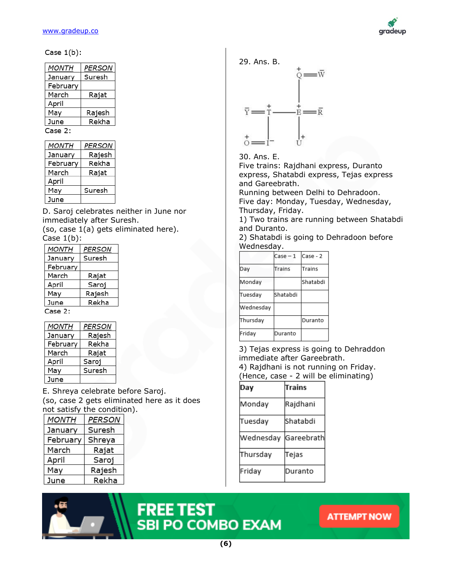

#### Case  $1(b)$ :

| MONTH    | PERSON |
|----------|--------|
| January  | Suresh |
| February |        |
| March    | Rajat  |
| April    |        |
| May      | Rajesh |
| June     | Rekha  |
| Case 2:  |        |

| MONTH    | PERSON |
|----------|--------|
| January  | Rajesh |
| February | Rekha  |
| March    | Rajat  |
| April    |        |
| May      | Suresh |
| June     |        |

D. Saroj celebrates neither in June nor immediately after Suresh.

(so, case 1(a) gets eliminated here). Case  $1(b)$ :

| <b>MONTH</b> | <b>PERSON</b> |
|--------------|---------------|
| January      | Suresh        |
| February     |               |
| March        | Rajat         |
| April        | Saroj         |
| May          | Rajesh        |
| June         | Rekha         |
| Case 2:      |               |

| MONTH    | PERSON |
|----------|--------|
| January  | Rajesh |
| February | Rekha  |
| March    | Rajat  |
| April    | Saroj  |
| May      | Suresh |
| June     |        |

E. Shreya celebrate before Saroj. (so, case 2 gets eliminated here as it does not satisfy the condition).

| MONTH    | <b>PERSON</b> |  |
|----------|---------------|--|
| January  | Suresh        |  |
| February | Shreya        |  |
| March    | Rajat         |  |
| April    | Saroj         |  |
| May      | Rajesh        |  |
| June     | Rekha         |  |



30. Ans. E.

Five trains: Rajdhani express, Duranto express, Shatabdi express, Tejas express and Gareebrath.

Running between Delhi to Dehradoon. Five day: Monday, Tuesday, Wednesday, Thursday, Friday.

1) Two trains are running between Shatabdi and Duranto.

2) Shatabdi is going to Dehradoon before Wednesday.

|           | $Case - 1$ | Case - 2 |
|-----------|------------|----------|
| Day       | Trains     | Trains   |
| Monday    |            | Shatabdi |
| Tuesday   | Shatabdi   |          |
| Wednesday |            |          |
| Thursday  |            | Duranto  |
| Friday    | Duranto    |          |

3) Tejas express is going to Dehraddon immediate after Gareebrath.

4) Rajdhani is not running on Friday. (Hence, case - 2 will be eliminating)

| Day       | Trains     |
|-----------|------------|
| Monday    | Rajdhani   |
| Tuesday   | lShatabdi  |
| Wednesday | Gareebrath |
| Thursday  | Tejas      |
| Friday    | Duranto    |



# **FREE TEST<br>SBI PO COMBO EXAM**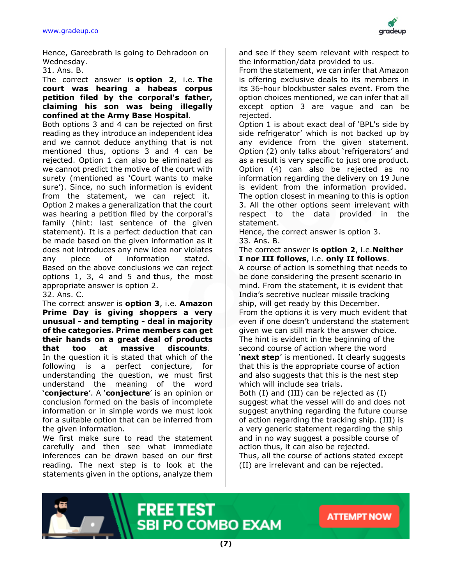

Hence, Gareebrath is going to Dehradoon on Wednesday.

31. Ans. B.

The correct answer is **option 2**, i.e. **The court was hearing a habeas corpus petition filed by the corporal's father, claiming his son was being illegally confined at the Army Base Hospital**.

Both options 3 and 4 can be rejected on first reading as they introduce an independent idea and we cannot deduce anything that is not mentioned thus, options 3 and 4 can be rejected. Option 1 can also be eliminated as we cannot predict the motive of the court with surety (mentioned as 'Court wants to make sure'). Since, no such information is evident from the statement, we can reject it. Option 2 makes a generalization that the court was hearing a petition filed by the corporal's family (hint: last sentence of the given statement). It is a perfect deduction that can be made based on the given information as it does not introduces any new idea nor violates any piece of information stated. Based on the above conclusions we can reject options 1, 3, 4 and 5 and **t**hus, the most appropriate answer is option 2.

32. Ans. C.

The correct answer is **option 3**, i.e. **Amazon Prime Day is giving shoppers a very unusual - and tempting - deal in majority of the categories. Prime members can get their hands on a great deal of products that too at massive discounts**. In the question it is stated that which of the following is a perfect conjecture, for understanding the question, we must first understand the meaning of the word '**conjecture**'. A '**conjecture**' is an opinion or conclusion formed on the basis of incomplete information or in simple words we must look for a suitable option that can be inferred from the given information.

We first make sure to read the statement carefully and then see what immediate inferences can be drawn based on our first reading. The next step is to look at the statements given in the options, analyze them

and see if they seem relevant with respect to the information/data provided to us.

From the statement, we can infer that Amazon is offering exclusive deals to its members in its 36-hour blockbuster sales event. From the option choices mentioned, we can infer that all except option 3 are vague and can be rejected.

Option 1 is about exact deal of 'BPL's side by side refrigerator' which is not backed up by any evidence from the given statement. Option (2) only talks about 'refrigerators' and as a result is very specific to just one product. Option (4) can also be rejected as no information regarding the delivery on 19 June is evident from the information provided. The option closest in meaning to this is option 3. All the other options seem irrelevant with respect to the data provided in the statement.

Hence, the correct answer is option 3. 33. Ans. B.

The correct answer is **option 2**, i.e.**Neither I nor III follows**, i.e. **only II follows**. A course of action is something that needs to be done considering the present scenario in mind. From the statement, it is evident that India's secretive nuclear missile tracking ship, will get ready by this December. From the options it is very much evident that even if one doesn't understand the statement given we can still mark the answer choice. The hint is evident in the beginning of the second course of action where the word '**next step**' is mentioned. It clearly suggests that this is the appropriate course of action and also suggests that this is the nest step which will include sea trials. Both (I) and (III) can be rejected as (I) suggest what the vessel will do and does not

suggest anything regarding the future course of action regarding the tracking ship. (III) is a very generic statement regarding the ship and in no way suggest a possible course of action thus, it can also be rejected. Thus, all the course of actions stated except

**ATTEMPT NOW** 

(II) are irrelevant and can be rejected.



SBI PO COMBO EXAM

**FREE TEST**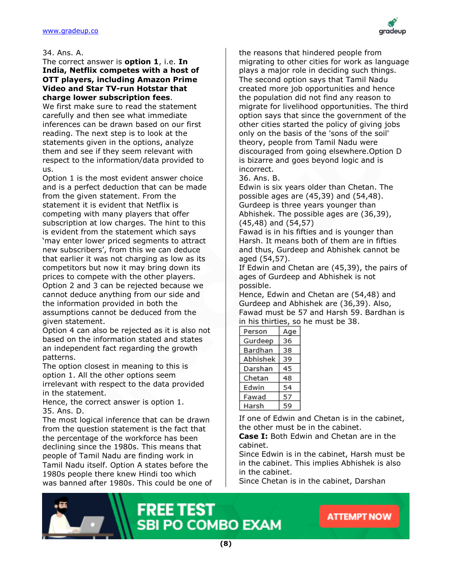

#### 34. Ans. A.

#### The correct answer is **option 1**, i.e. **In India, Netflix competes with a host of OTT players, including Amazon Prime Video and Star TV-run Hotstar that charge lower subscription fees**.

We first make sure to read the statement carefully and then see what immediate inferences can be drawn based on our first reading. The next step is to look at the statements given in the options, analyze them and see if they seem relevant with respect to the information/data provided to us.

Option 1 is the most evident answer choice and is a perfect deduction that can be made from the given statement. From the statement it is evident that Netflix is competing with many players that offer subscription at low charges. The hint to this is evident from the statement which says 'may enter lower priced segments to attract new subscribers', from this we can deduce that earlier it was not charging as low as its competitors but now it may bring down its prices to compete with the other players. Option 2 and 3 can be rejected because we cannot deduce anything from our side and the information provided in both the assumptions cannot be deduced from the given statement.

Option 4 can also be rejected as it is also not based on the information stated and states an independent fact regarding the growth patterns.

The option closest in meaning to this is option 1. All the other options seem irrelevant with respect to the data provided in the statement.

Hence, the correct answer is option 1. 35. Ans. D.

The most logical inference that can be drawn from the question statement is the fact that the percentage of the workforce has been declining since the 1980s. This means that people of Tamil Nadu are finding work in Tamil Nadu itself. Option A states before the 1980s people there knew Hindi too which was banned after 1980s. This could be one of the reasons that hindered people from migrating to other cities for work as language plays a major role in deciding such things. The second option says that Tamil Nadu created more job opportunities and hence the population did not find any reason to migrate for livelihood opportunities. The third option says that since the government of the other cities started the policy of giving jobs only on the basis of the 'sons of the soil' theory, people from Tamil Nadu were discouraged from going elsewhere.Option D is bizarre and goes beyond logic and is incorrect.

36. Ans. B.

Edwin is six years older than Chetan. The possible ages are (45,39) and (54,48). Gurdeep is three years younger than Abhishek. The possible ages are (36,39), (45,48) and (54,57)

Fawad is in his fifties and is younger than Harsh. It means both of them are in fifties and thus, Gurdeep and Abhishek cannot be aged (54,57).

If Edwin and Chetan are (45,39), the pairs of ages of Gurdeep and Abhishek is not possible.

Hence, Edwin and Chetan are (54,48) and Gurdeep and Abhishek are (36,39). Also, Fawad must be 57 and Harsh 59. Bardhan is in his thirties, so he must be 38.

| Person   | Age |
|----------|-----|
| Gurdeep  | 36  |
| Bardhan  | 38  |
| Abhishek | 39  |
| Darshan  | 45  |
| Chetan   | 48  |
| Edwin    | 54  |
| Fawad    | 57  |
| Harsh    | 59  |

If one of Edwin and Chetan is in the cabinet, the other must be in the cabinet.

**Case I:** Both Edwin and Chetan are in the cabinet.

Since Edwin is in the cabinet, Harsh must be in the cabinet. This implies Abhishek is also in the cabinet.

Since Chetan is in the cabinet, Darshan



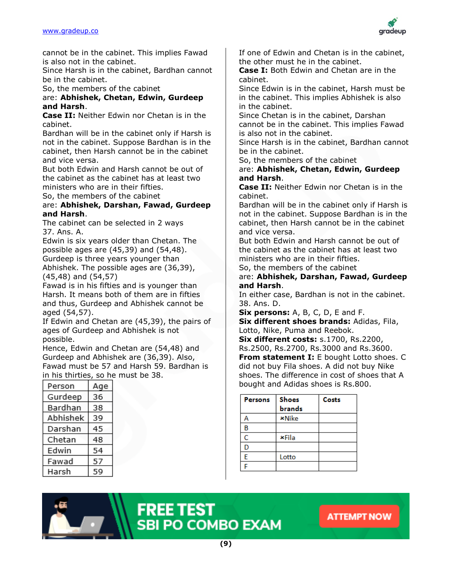

cannot be in the cabinet. This implies Fawad is also not in the cabinet.

Since Harsh is in the cabinet, Bardhan cannot be in the cabinet.

So, the members of the cabinet

#### are: **Abhishek, Chetan, Edwin, Gurdeep and Harsh**.

**Case II:** Neither Edwin nor Chetan is in the cabinet.

Bardhan will be in the cabinet only if Harsh is not in the cabinet. Suppose Bardhan is in the cabinet, then Harsh cannot be in the cabinet and vice versa.

But both Edwin and Harsh cannot be out of the cabinet as the cabinet has at least two ministers who are in their fifties.

So, the members of the cabinet

# are: **Abhishek, Darshan, Fawad, Gurdeep and Harsh**.

The cabinet can be selected in 2 ways 37. Ans. A.

Edwin is six years older than Chetan. The possible ages are (45,39) and (54,48). Gurdeep is three years younger than Abhishek. The possible ages are (36,39), (45,48) and (54,57)

Fawad is in his fifties and is younger than Harsh. It means both of them are in fifties and thus, Gurdeep and Abhishek cannot be aged (54,57).

If Edwin and Chetan are (45,39), the pairs of ages of Gurdeep and Abhishek is not possible.

Hence, Edwin and Chetan are (54,48) and Gurdeep and Abhishek are (36,39). Also, Fawad must be 57 and Harsh 59. Bardhan is in his thirties, so he must be 38.

| Person   | Age |
|----------|-----|
| Gurdeep  | 36  |
| Bardhan  | 38  |
| Abhishek | 39  |
| Darshan  | 45  |
| Chetan   | 48  |
| Edwin    | 54  |
| Fawad    | 57  |
| Harsh    | 59  |

If one of Edwin and Chetan is in the cabinet, the other must he in the cabinet.

**Case I:** Both Edwin and Chetan are in the cabinet.

Since Edwin is in the cabinet, Harsh must be in the cabinet. This implies Abhishek is also in the cabinet.

Since Chetan is in the cabinet, Darshan cannot be in the cabinet. This implies Fawad is also not in the cabinet.

Since Harsh is in the cabinet, Bardhan cannot be in the cabinet.

So, the members of the cabinet

are: **Abhishek, Chetan, Edwin, Gurdeep and Harsh**.

**Case II:** Neither Edwin nor Chetan is in the cabinet.

Bardhan will be in the cabinet only if Harsh is not in the cabinet. Suppose Bardhan is in the cabinet, then Harsh cannot be in the cabinet and vice versa.

But both Edwin and Harsh cannot be out of the cabinet as the cabinet has at least two ministers who are in their fifties.

So, the members of the cabinet

are: **Abhishek, Darshan, Fawad, Gurdeep and Harsh**.

In either case, Bardhan is not in the cabinet. 38. Ans. D.

**Six persons:** A, B, C, D, E and F.

**Six different shoes brands:** Adidas, Fila, Lotto, Nike, Puma and Reebok.

**Six different costs:** s.1700, Rs.2200, Rs.2500, Rs.2700, Rs.3000 and Rs.3600. **From statement I:** E bought Lotto shoes. C did not buy Fila shoes. A did not buy Nike shoes. The difference in cost of shoes that A bought and Adidas shoes is Rs.800.

| Persons | <b>Shoes</b><br><b>brands</b> | Costs |
|---------|-------------------------------|-------|
|         | <b>*Nike</b>                  |       |
| в       |                               |       |
| Ċ       | <b>×Fila</b>                  |       |
| D       |                               |       |
| E       | Lotto                         |       |
| ۳       |                               |       |



# **FREE TEST<br>SBI PO COMBO EXAM**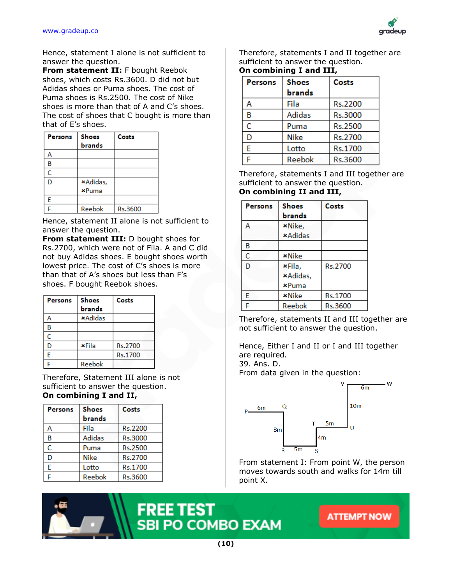

Hence, statement I alone is not sufficient to answer the question.

**From statement II:** F bought Reebok shoes, which costs Rs.3600. D did not but Adidas shoes or Puma shoes. The cost of Puma shoes is Rs.2500. The cost of Nike shoes is more than that of A and C's shoes. The cost of shoes that C bought is more than that of E's shoes.

| Persons | <b>Shoes</b><br><b>brands</b> | Costs   |
|---------|-------------------------------|---------|
| А       |                               |         |
| В       |                               |         |
| Ċ       |                               |         |
| Ď       | *Adidas,                      |         |
|         | <b>*Puma</b>                  |         |
| E       |                               |         |
| Ê       | Reebok                        | Rs.3600 |

Hence, statement II alone is not sufficient to answer the question.

**From statement III:** D bought shoes for Rs.2700, which were not of Fila. A and C did not buy Adidas shoes. E bought shoes worth lowest price. The cost of C's shoes is more than that of A's shoes but less than F's shoes. F bought Reebok shoes.

| <b>Persons</b> | <b>Shoes</b>   | Costs   |
|----------------|----------------|---------|
|                | <b>brands</b>  |         |
| Α              | <b>*Adidas</b> |         |
| в              |                |         |
| Ć              |                |         |
| D              | ×Fila          | Rs.2700 |
| Ė              |                | Rs.1700 |
| Ë              | Reebok         |         |

Therefore, Statement III alone is not sufficient to answer the question. **On combining I and II,**

| Persons | <b>Shoes</b> | Costs          |
|---------|--------------|----------------|
|         | brands       |                |
| А       | Fila         | Rs.2200        |
| B       | Adidas       | Rs.3000        |
| Ć       | Puma         | <b>Rs.2500</b> |
| D       | Nike         | Rs.2700        |
| Ė       | Lotto        | Rs.1700        |
| Ë       | Reebok       | Rs.3600        |

Therefore, statements I and II together are sufficient to answer the question.

# **On combining I and III,**

| <b>Persons</b> | <b>Shoes</b> | Costs          |
|----------------|--------------|----------------|
|                | brands       |                |
| А              | Fila         | Rs.2200        |
| В              | Adidas       | Rs.3000        |
| Ċ              | Puma         | <b>Rs.2500</b> |
| D              | Nike         | Rs.2700        |
| E              | Lotto        | Rs.1700        |
|                | Reebok       | Rs.3600        |

Therefore, statements I and III together are sufficient to answer the question.

### **On combining II and III,**

| Persons | <b>Shoes</b>   | Costs   |
|---------|----------------|---------|
|         | brands         |         |
| А       | *Nike,         |         |
|         | <b>*Adidas</b> |         |
| В       |                |         |
| Ċ       | <b>*Nike</b>   |         |
| D       | ×Fila,         | Rs.2700 |
|         | *Adidas,       |         |
|         | <b>*Puma</b>   |         |
| E       | <b>*Nike</b>   | Rs.1700 |
| Ë       | Reebok         | Rs.3600 |

Therefore, statements II and III together are not sufficient to answer the question.

Hence, Either I and II or I and III together are required.

39. Ans. D.

From data given in the question:



From statement I: From point W, the person moves towards south and walks for 14m till point X.

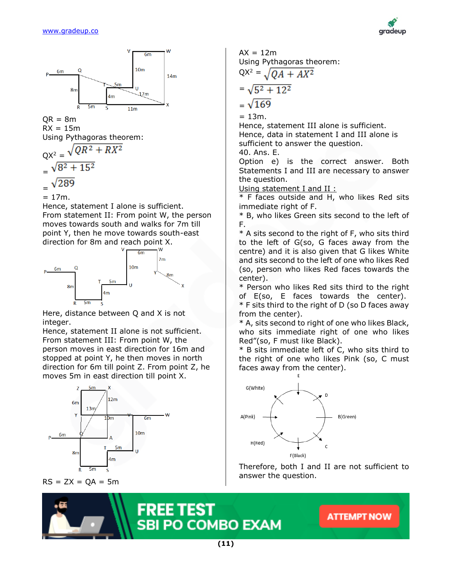



 $OR = 8m$  $RX = 15m$ Using Pythagoras theorem:

$$
QX^{2} = \sqrt{QR^{2} + RX^{2}}
$$
  
=  $\sqrt{8^{2} + 15^{2}}$   
=  $\sqrt{289}$ 

$$
= 17m.
$$

Hence, statement I alone is sufficient. From statement II: From point W, the person moves towards south and walks for 7m till point Y, then he move towards south-east direction for 8m and reach point X.



Here, distance between Q and X is not integer.

Hence, statement II alone is not sufficient. From statement III: From point W, the person moves in east direction for 16m and stopped at point Y, he then moves in north direction for 6m till point Z. From point Z, he moves 5m in east direction till point X.



 $RS = ZX = QA = 5m$ 

 $AX = 12m$ Using Pythagoras theorem:  $QX^2 = \sqrt{OA + AX^2}$  $=\sqrt{5^2+12^2}$  $= \sqrt{169}$ 

 $= 13m$ .

Hence, statement III alone is sufficient. Hence, data in statement I and III alone is sufficient to answer the question.

40. Ans. E.

Option e) is the correct answer. Both Statements I and III are necessary to answer the question.

Using statement I and II :

\* F faces outside and H, who likes Red sits immediate right of F.

\* B, who likes Green sits second to the left of F.

\* A sits second to the right of F, who sits third to the left of G(so, G faces away from the centre) and it is also given that G likes White and sits second to the left of one who likes Red (so, person who likes Red faces towards the center).

\* Person who likes Red sits third to the right of E(so, E faces towards the center).

\* F sits third to the right of D (so D faces away from the center).

\* A, sits second to right of one who likes Black, who sits immediate right of one who likes Red"(so, F must like Black).

\* B sits immediate left of C, who sits third to the right of one who likes Pink (so, C must faces away from the center).



Therefore, both I and II are not sufficient to answer the question.

**ATTEMPT NOW** 



**(11)**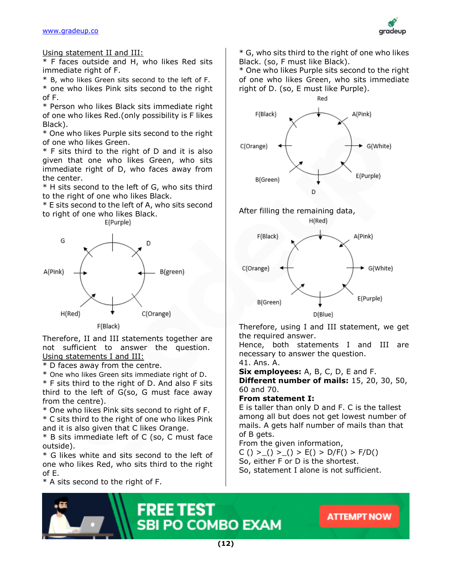#### [www.gradeup.co](http://www.gradeup.com/)



Using statement II and III:

\* F faces outside and H, who likes Red sits immediate right of F.

\* B, who likes Green sits second to the left of F.

\* one who likes Pink sits second to the right of F.

\* Person who likes Black sits immediate right of one who likes Red.(only possibility is F likes Black).

\* One who likes Purple sits second to the right of one who likes Green.

\* F sits third to the right of D and it is also given that one who likes Green, who sits immediate right of D, who faces away from the center.

\* H sits second to the left of G, who sits third to the right of one who likes Black.

\* E sits second to the left of A, who sits second to right of one who likes Black.





Therefore, II and III statements together are not sufficient to answer the question. Using statements I and III:

\* D faces away from the centre.

\* One who likes Green sits immediate right of D. \* F sits third to the right of D. And also F sits third to the left of G(so, G must face away from the centre).

\* One who likes Pink sits second to right of F.

\* C sits third to the right of one who likes Pink and it is also given that C likes Orange.

\* B sits immediate left of C (so, C must face outside).

\* G likes white and sits second to the left of one who likes Red, who sits third to the right of E.

\* A sits second to the right of F.

\* G, who sits third to the right of one who likes Black. (so, F must like Black).

\* One who likes Purple sits second to the right of one who likes Green, who sits immediate right of D. (so, E must like Purple).



# After filling the remaining data,





Therefore, using I and III statement, we get the required answer.

Hence, both statements I and III are necessary to answer the question.

41. Ans. A.

**Six employees:** A, B, C, D, E and F.

**Different number of mails:** 15, 20, 30, 50, 60 and 70.

# **From statement I:**

E is taller than only D and F. C is the tallest among all but does not get lowest number of mails. A gets half number of mails than that of B gets.

From the given information,

C () > () > () > E() > D/F() > F/D() So, either F or D is the shortest. So, statement I alone is not sufficient.

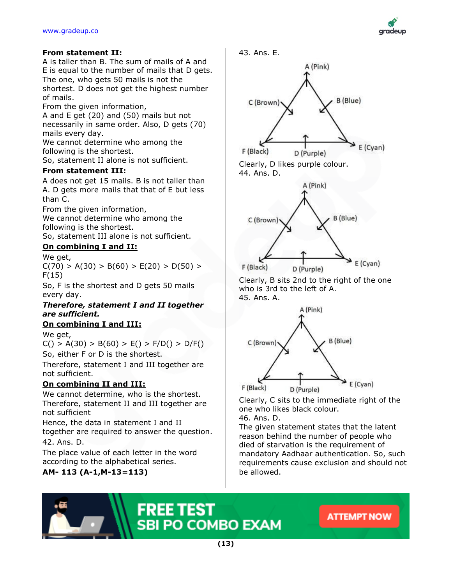

# **From statement II:**

A is taller than B. The sum of mails of A and E is equal to the number of mails that D gets. The one, who gets 50 mails is not the shortest. D does not get the highest number of mails.

From the given information,

A and E get (20) and (50) mails but not necessarily in same order. Also, D gets (70) mails every day.

We cannot determine who among the following is the shortest.

So, statement II alone is not sufficient.

# **From statement III:**

A does not get 15 mails. B is not taller than A. D gets more mails that that of E but less than C.

From the given information,

We cannot determine who among the following is the shortest.

So, statement III alone is not sufficient.

# **On combining I and II:**

We get,  $C(70) > A(30) > B(60) > E(20) > D(50) >$ F(15)

So, F is the shortest and D gets 50 mails every day.

# *Therefore, statement I and II together are sufficient.*

# **On combining I and III:**

We get,

 $C() > A(30) > B(60) > E() > F/D() > D/F()$ 

So, either F or D is the shortest.

Therefore, statement I and III together are not sufficient.

# **On combining II and III:**

We cannot determine, who is the shortest. Therefore, statement II and III together are not sufficient

Hence, the data in statement I and II together are required to answer the question. 42. Ans. D.

The place value of each letter in the word according to the alphabetical series.

# **AM- 113 (A-1,M-13=113)**



who is 3rd to the left of A. 45. Ans. A.



Clearly, C sits to the immediate right of the one who likes black colour.

46. Ans. D.

The given statement states that the latent reason behind the number of people who died of starvation is the requirement of mandatory Aadhaar authentication. So, such requirements cause exclusion and should not be allowed.

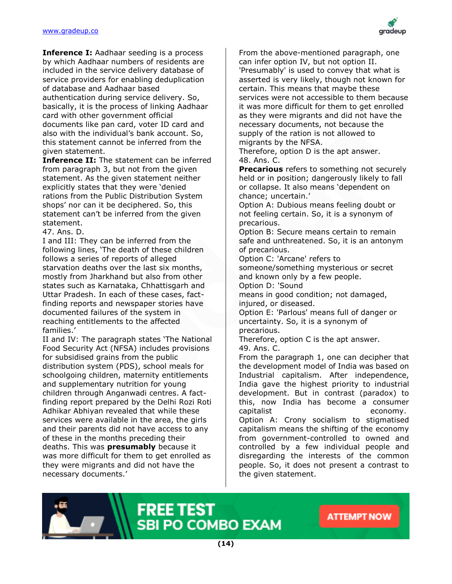

**Inference I:** Aadhaar seeding is a process by which Aadhaar numbers of residents are included in the service delivery database of service providers for enabling deduplication of database and Aadhaar based authentication during service delivery. So, basically, it is the process of linking Aadhaar card with other government official documents like pan card, voter ID card and also with the individual's bank account. So, this statement cannot be inferred from the given statement.

**Inference II:** The statement can be inferred from paragraph 3, but not from the given statement. As the given statement neither explicitly states that they were 'denied rations from the Public Distribution System shops' nor can it be deciphered. So, this statement can't be inferred from the given statement.

47. Ans. D.

I and III: They can be inferred from the following lines, 'The death of these children follows a series of reports of alleged starvation deaths over the last six months, mostly from Jharkhand but also from other states such as Karnataka, Chhattisgarh and Uttar Pradesh. In each of these cases, factfinding reports and newspaper stories have documented failures of the system in reaching entitlements to the affected families.'

II and IV: The paragraph states 'The National Food Security Act (NFSA) includes provisions for subsidised grains from the public distribution system (PDS), school meals for schoolgoing children, maternity entitlements and supplementary nutrition for young children through Anganwadi centres. A factfinding report prepared by the Delhi Rozi Roti Adhikar Abhiyan revealed that while these services were available in the area, the girls and their parents did not have access to any of these in the months preceding their deaths. This was **presumably** because it was more difficult for them to get enrolled as they were migrants and did not have the necessary documents.'

From the above-mentioned paragraph, one can infer option IV, but not option II. 'Presumably' is used to convey that what is asserted is very likely, though not known for certain. This means that maybe these services were not accessible to them because it was more difficult for them to get enrolled as they were migrants and did not have the necessary documents, not because the supply of the ration is not allowed to migrants by the NFSA.

Therefore, option D is the apt answer. 48. Ans. C.

**Precarious** refers to something not securely held or in position; dangerously likely to fall or collapse. It also means 'dependent on chance; uncertain.'

Option A: Dubious means feeling doubt or not feeling certain. So, it is a synonym of precarious.

Option B: Secure means certain to remain safe and unthreatened. So, it is an antonym of precarious.

Option C: 'Arcane' refers to someone/something mysterious or secret and known only by a few people. Option D: 'Sound

means in good condition; not damaged, injured, or diseased.

Option E: 'Parlous' means full of danger or uncertainty. So, it is a synonym of precarious.

Therefore, option C is the apt answer. 49. Ans. C.

From the paragraph 1, one can decipher that the development model of India was based on Industrial capitalism. After independence, India gave the highest priority to industrial development. But in contrast (paradox) to this, now India has become a consumer capitalist economy. Option A: Crony socialism to stigmatised capitalism means the shifting of the economy from government-controlled to owned and controlled by a few individual people and disregarding the interests of the common people. So, it does not present a contrast to the given statement.

**ATTEMPT NOW** 



**FREE TEST** SBI PO COMBO EXAM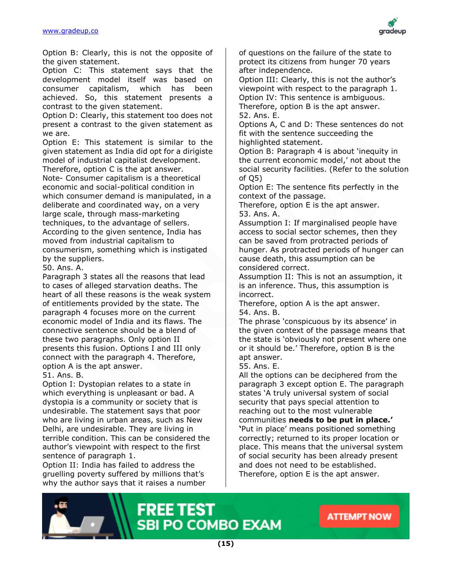

Option B: Clearly, this is not the opposite of the given statement.

Option C: This statement says that the development model itself was based on consumer capitalism, which has been achieved. So, this statement presents a contrast to the given statement.

Option D: Clearly, this statement too does not present a contrast to the given statement as we are.

Option E: This statement is similar to the given statement as India did opt for a dirigiste model of industrial capitalist development.

Therefore, option C is the apt answer. Note- Consumer capitalism is a theoretical economic and social-political condition in which consumer demand is manipulated, in a deliberate and coordinated way, on a very large scale, through mass-marketing techniques, to the advantage of sellers. According to the given sentence, India has moved from industrial capitalism to consumerism, something which is instigated by the suppliers.

50. Ans. A.

Paragraph 3 states all the reasons that lead to cases of alleged starvation deaths. The heart of all these reasons is the weak system of entitlements provided by the state. The paragraph 4 focuses more on the current economic model of India and its flaws. The connective sentence should be a blend of these two paragraphs. Only option II presents this fusion. Options I and III only connect with the paragraph 4. Therefore, option A is the apt answer.

# 51. Ans. B.

Option I: Dystopian relates to a state in which everything is unpleasant or bad. A dystopia is a community or society that is undesirable. The statement says that poor who are living in urban areas, such as New Delhi, are undesirable. They are living in terrible condition. This can be considered the author's viewpoint with respect to the first sentence of paragraph 1.

Option II: India has failed to address the gruelling poverty suffered by millions that's why the author says that it raises a number of questions on the failure of the state to protect its citizens from hunger 70 years after independence.

Option III: Clearly, this is not the author's viewpoint with respect to the paragraph 1. Option IV: This sentence is ambiguous. Therefore, option B is the apt answer. 52. Ans. E.

Options A, C and D: These sentences do not fit with the sentence succeeding the highlighted statement.

Option B: Paragraph 4 is about 'inequity in the current economic model,' not about the social security facilities. (Refer to the solution of Q5)

Option E: The sentence fits perfectly in the context of the passage.

Therefore, option E is the apt answer. 53. Ans. A.

Assumption I: If marginalised people have access to social sector schemes, then they can be saved from protracted periods of hunger. As protracted periods of hunger can cause death, this assumption can be considered correct.

Assumption II: This is not an assumption, it is an inference. Thus, this assumption is incorrect.

Therefore, option A is the apt answer. 54. Ans. B.

The phrase 'conspicuous by its absence' in the given context of the passage means that the state is 'obviously not present where one or it should be.' Therefore, option B is the apt answer.

55. Ans. E.

All the options can be deciphered from the paragraph 3 except option E. The paragraph states 'A truly universal system of social security that pays special attention to reaching out to the most vulnerable communities **needs to be put in place.' '**Put in place' means positioned something correctly; returned to its proper location or place. This means that the universal system of social security has been already present and does not need to be established. Therefore, option E is the apt answer.

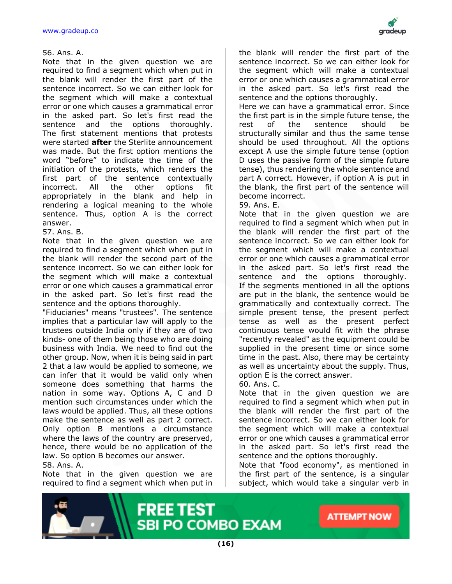

#### 56. Ans. A.

Note that in the given question we are required to find a segment which when put in the blank will render the first part of the sentence incorrect. So we can either look for the segment which will make a contextual error or one which causes a grammatical error in the asked part. So let's first read the sentence and the options thoroughly. The first statement mentions that protests were started **after** the Sterlite announcement was made. But the first option mentions the word "before" to indicate the time of the initiation of the protests, which renders the first part of the sentence contextually incorrect. All the other options fit appropriately in the blank and help in rendering a logical meaning to the whole sentence. Thus, option A is the correct answer.

#### 57. Ans. B.

Note that in the given question we are required to find a segment which when put in the blank will render the second part of the sentence incorrect. So we can either look for the segment which will make a contextual error or one which causes a grammatical error in the asked part. So let's first read the sentence and the options thoroughly.

"Fiduciaries" means "trustees". The sentence implies that a particular law will apply to the trustees outside India only if they are of two kinds- one of them being those who are doing business with India. We need to find out the other group. Now, when it is being said in part 2 that a law would be applied to someone, we can infer that it would be valid only when someone does something that harms the nation in some way. Options A, C and D mention such circumstances under which the laws would be applied. Thus, all these options make the sentence as well as part 2 correct. Only option B mentions a circumstance where the laws of the country are preserved, hence, there would be no application of the law. So option B becomes our answer.

#### 58. Ans. A.

Note that in the given question we are required to find a segment which when put in the blank will render the first part of the sentence incorrect. So we can either look for the segment which will make a contextual error or one which causes a grammatical error in the asked part. So let's first read the sentence and the options thoroughly.

Here we can have a grammatical error. Since the first part is in the simple future tense, the rest of the sentence should be structurally similar and thus the same tense should be used throughout. All the options except A use the simple future tense (option D uses the passive form of the simple future tense), thus rendering the whole sentence and part A correct. However, if option A is put in the blank, the first part of the sentence will become incorrect.

#### 59. Ans. E.

Note that in the given question we are required to find a segment which when put in the blank will render the first part of the sentence incorrect. So we can either look for the segment which will make a contextual error or one which causes a grammatical error in the asked part. So let's first read the sentence and the options thoroughly. If the segments mentioned in all the options are put in the blank, the sentence would be grammatically and contextually correct. The simple present tense, the present perfect tense as well as the present perfect continuous tense would fit with the phrase "recently revealed" as the equipment could be supplied in the present time or since some time in the past. Also, there may be certainty as well as uncertainty about the supply. Thus, option E is the correct answer.

60. Ans. C.

Note that in the given question we are required to find a segment which when put in the blank will render the first part of the sentence incorrect. So we can either look for the segment which will make a contextual error or one which causes a grammatical error in the asked part. So let's first read the sentence and the options thoroughly.

Note that "food economy", as mentioned in the first part of the sentence, is a singular subject, which would take a singular verb in

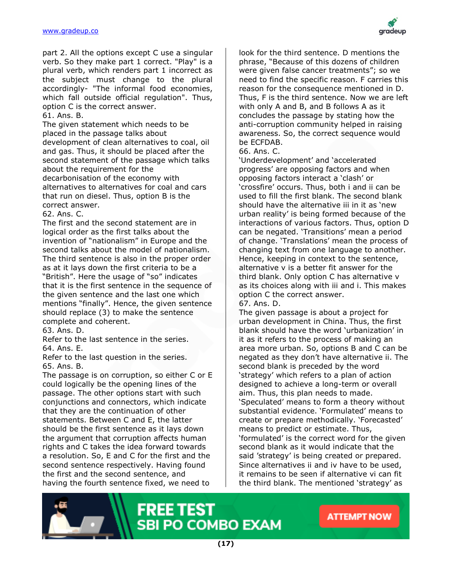

part 2. All the options except C use a singular verb. So they make part 1 correct. "Play" is a plural verb, which renders part 1 incorrect as the subject must change to the plural accordingly- "The informal food economies, which fall outside official regulation". Thus, option C is the correct answer.

61. Ans. B.

The given statement which needs to be placed in the passage talks about development of clean alternatives to coal, oil and gas. Thus, it should be placed after the second statement of the passage which talks about the requirement for the

decarbonisation of the economy with alternatives to alternatives for coal and cars that run on diesel. Thus, option B is the correct answer.

62. Ans. C.

The first and the second statement are in logical order as the first talks about the invention of "nationalism" in Europe and the second talks about the model of nationalism. The third sentence is also in the proper order as at it lays down the first criteria to be a "British". Here the usage of "so" indicates that it is the first sentence in the sequence of the given sentence and the last one which mentions "finally". Hence, the given sentence should replace (3) to make the sentence complete and coherent.

63. Ans. D.

Refer to the last sentence in the series. 64. Ans. E.

Refer to the last question in the series. 65. Ans. B.

The passage is on corruption, so either C or E could logically be the opening lines of the passage. The other options start with such conjunctions and connectors, which indicate that they are the continuation of other statements. Between C and E, the latter should be the first sentence as it lays down the argument that corruption affects human rights and C takes the idea forward towards a resolution. So, E and C for the first and the second sentence respectively. Having found the first and the second sentence, and having the fourth sentence fixed, we need to

look for the third sentence. D mentions the phrase, "Because of this dozens of children were given false cancer treatments"; so we need to find the specific reason. F carries this reason for the consequence mentioned in D. Thus, F is the third sentence. Now we are left with only A and B, and B follows A as it concludes the passage by stating how the anti-corruption community helped in raising awareness. So, the correct sequence would be ECFDAB.

#### 66. Ans. C.

'Underdevelopment' and 'accelerated progress' are opposing factors and when opposing factors interact a 'clash' or 'crossfire' occurs. Thus, both i and ii can be used to fill the first blank. The second blank should have the alternative iii in it as 'new urban reality' is being formed because of the interactions of various factors. Thus, option D can be negated. 'Transitions' mean a period of change. 'Translations' mean the process of changing text from one language to another. Hence, keeping in context to the sentence, alternative v is a better fit answer for the third blank. Only option C has alternative v as its choices along with iii and i. This makes option C the correct answer.

67. Ans. D.

The given passage is about a project for urban development in China. Thus, the first blank should have the word 'urbanization' in it as it refers to the process of making an area more urban. So, options B and C can be negated as they don't have alternative ii. The second blank is preceded by the word 'strategy' which refers to a plan of action designed to achieve a long-term or overall aim. Thus, this plan needs to made. 'Speculated' means to form a theory without substantial evidence. 'Formulated' means to create or prepare methodically. 'Forecasted' means to predict or estimate. Thus, 'formulated' is the correct word for the given second blank as it would indicate that the said 'strategy' is being created or prepared. Since alternatives ii and iv have to be used, it remains to be seen if alternative vi can fit the third blank. The mentioned 'strategy' as

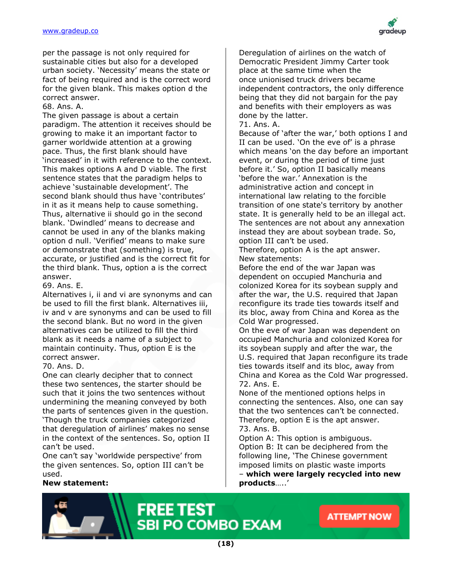

per the passage is not only required for sustainable cities but also for a developed urban society. 'Necessity' means the state or fact of being required and is the correct word for the given blank. This makes option d the correct answer.

68. Ans. A.

The given passage is about a certain paradigm. The attention it receives should be growing to make it an important factor to garner worldwide attention at a growing pace. Thus, the first blank should have 'increased' in it with reference to the context. This makes options A and D viable. The first sentence states that the paradigm helps to achieve 'sustainable development'. The second blank should thus have 'contributes' in it as it means help to cause something. Thus, alternative ii should go in the second blank. 'Dwindled' means to decrease and cannot be used in any of the blanks making option d null. 'Verified' means to make sure or demonstrate that (something) is true, accurate, or justified and is the correct fit for the third blank. Thus, option a is the correct answer.

69. Ans. E.

Alternatives i, ii and vi are synonyms and can be used to fill the first blank. Alternatives iii, iv and v are synonyms and can be used to fill the second blank. But no word in the given alternatives can be utilized to fill the third blank as it needs a name of a subject to maintain continuity. Thus, option E is the correct answer.

70. Ans. D.

One can clearly decipher that to connect these two sentences, the starter should be such that it joins the two sentences without undermining the meaning conveyed by both the parts of sentences given in the question. 'Though the truck companies categorized that deregulation of airlines' makes no sense in the context of the sentences. So, option II can't be used.

One can't say 'worldwide perspective' from the given sentences. So, option III can't be used.

#### **New statement:**

Deregulation of airlines on the watch of Democratic President Jimmy Carter took place at the same time when the once unionised truck drivers became independent contractors, the only difference being that they did not bargain for the pay and benefits with their employers as was done by the latter.

#### 71. Ans. A.

Because of 'after the war,' both options I and II can be used. 'On the eve of' is a phrase which means 'on the day before an important event, or during the period of time just before it.' So, option II basically means 'before the war.' Annexation is the administrative action and concept in international law relating to the forcible transition of one state's territory by another state. It is generally held to be an illegal act. The sentences are not about any annexation instead they are about soybean trade. So, option III can't be used.

Therefore, option A is the apt answer. New statements:

Before the end of the war Japan was dependent on occupied Manchuria and colonized Korea for its soybean supply and after the war, the U.S. required that Japan reconfigure its trade ties towards itself and its bloc, away from China and Korea as the Cold War progressed.

On the eve of war Japan was dependent on occupied Manchuria and colonized Korea for its soybean supply and after the war, the U.S. required that Japan reconfigure its trade ties towards itself and its bloc, away from China and Korea as the Cold War progressed. 72. Ans. E.

None of the mentioned options helps in connecting the sentences. Also, one can say that the two sentences can't be connected. Therefore, option E is the apt answer. 73. Ans. B.

Option A: This option is ambiguous. Option B: It can be deciphered from the following line, 'The Chinese government imposed limits on plastic waste imports – **which were largely recycled into new products**…..'

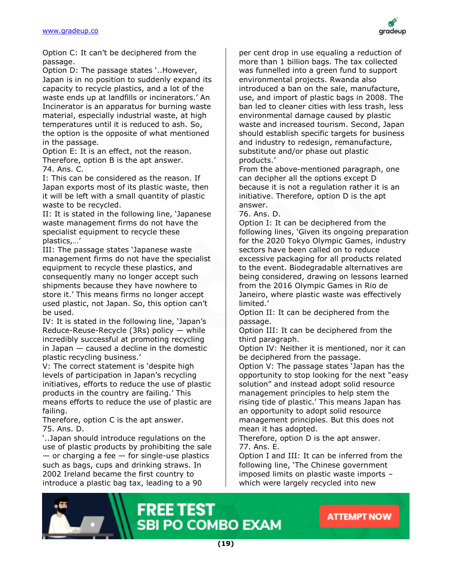

Option C: It can't be deciphered from the passage.

Option D: The passage states '..However, Japan is in no position to suddenly expand its capacity to recycle plastics, and a lot of the waste ends up at landfills or incinerators.' An Incinerator is an apparatus for burning waste material, especially industrial waste, at high temperatures until it is reduced to ash. So, the option is the opposite of what mentioned in the passage.

Option E: It is an effect, not the reason. Therefore, option B is the apt answer. 74. Ans. C.

I: This can be considered as the reason. If Japan exports most of its plastic waste, then it will be left with a small quantity of plastic waste to be recycled.

II: It is stated in the following line, 'Japanese waste management firms do not have the specialist equipment to recycle these plastics,…'

III: The passage states 'Japanese waste management firms do not have the specialist equipment to recycle these plastics, and consequently many no longer accept such shipments because they have nowhere to store it.' This means firms no longer accept used plastic, not Japan. So, this option can't be used.

IV: It is stated in the following line, 'Japan's Reduce-Reuse-Recycle (3Rs) policy — while incredibly successful at promoting recycling in Japan — caused a decline in the domestic plastic recycling business.'

V: The correct statement is 'despite high levels of participation in Japan's recycling initiatives, efforts to reduce the use of plastic products in the country are failing.' This means efforts to reduce the use of plastic are failing.

Therefore, option C is the apt answer. 75. Ans. D.

'..Japan should introduce regulations on the use of plastic products by prohibiting the sale  $-$  or charging a fee  $-$  for single-use plastics such as bags, cups and drinking straws. In 2002 Ireland became the first country to introduce a plastic bag tax, leading to a 90

per cent drop in use equaling a reduction of more than 1 billion bags. The tax collected was funnelled into a green fund to support environmental projects. Rwanda also introduced a ban on the sale, manufacture, use, and import of plastic bags in 2008. The ban led to cleaner cities with less trash, less environmental damage caused by plastic waste and increased tourism. Second, Japan should establish specific targets for business and industry to redesign, remanufacture, substitute and/or phase out plastic products.'

From the above-mentioned paragraph, one can decipher all the options except D because it is not a regulation rather it is an initiative. Therefore, option D is the apt answer.

76. Ans. D.

Option I: It can be deciphered from the following lines, 'Given its ongoing preparation for the 2020 Tokyo Olympic Games, industry sectors have been called on to reduce excessive packaging for all products related to the event. Biodegradable alternatives are being considered, drawing on lessons learned from the 2016 Olympic Games in Rio de Janeiro, where plastic waste was effectively limited.'

Option II: It can be deciphered from the passage.

Option III: It can be deciphered from the third paragraph.

Option IV: Neither it is mentioned, nor it can be deciphered from the passage.

Option V: The passage states 'Japan has the opportunity to stop looking for the next "easy solution" and instead adopt solid resource management principles to help stem the rising tide of plastic.' This means Japan has an opportunity to adopt solid resource management principles. But this does not mean it has adopted.

Therefore, option D is the apt answer. 77. Ans. E.

Option I and III: It can be inferred from the following line, 'The Chinese government imposed limits on plastic waste imports – which were largely recycled into new

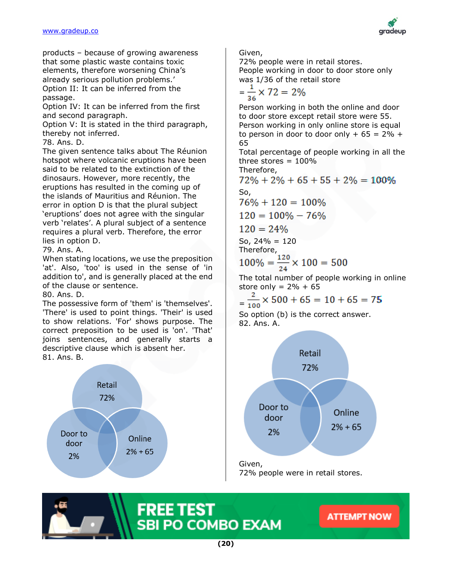#### [www.gradeup.co](http://www.gradeup.com/)



products – because of growing awareness that some plastic waste contains toxic elements, therefore worsening China's already serious pollution problems.' Option II: It can be inferred from the passage.

Option IV: It can be inferred from the first and second paragraph.

Option V: It is stated in the third paragraph, thereby not inferred.

78. Ans. D.

The given sentence talks about The Réunion hotspot where volcanic eruptions have been said to be related to the extinction of the dinosaurs. However, more recently, the eruptions has resulted in the coming up of the islands of Mauritius and Réunion. The error in option D is that the plural subject 'eruptions' does not agree with the singular verb 'relates'. A plural subject of a sentence requires a plural verb. Therefore, the error lies in option D.

79. Ans. A.

When stating locations, we use the preposition 'at'. Also, 'too' is used in the sense of 'in addition to', and is generally placed at the end of the clause or sentence.

80. Ans. D.

The possessive form of 'them' is 'themselves'. 'There' is used to point things. 'Their' is used to show relations. 'For' shows purpose. The correct preposition to be used is 'on'. 'That' joins sentences, and generally starts a descriptive clause which is absent her. 81. Ans. B.



Given,

72% people were in retail stores. People working in door to door store only was 1/36 of the retail store

$$
=\frac{1}{36} \times 72 = 2\%
$$

Person working in both the online and door to door store except retail store were 55. Person working in only online store is equal to person in door to door only  $+ 65 = 2\% +$ 65

Total percentage of people working in all the three stores  $= 100\%$ 

Therefore,

 $72\% + 2\% + 65 + 55 + 2\% = 100\%$ 

So,  $76\% + 120 = 100\%$ 

 $120 = 100\% - 76\%$ 

$$
120=24\%
$$

So,  $24\% = 120$ 

Therefore,

$$
100\% = \frac{120}{24} \times 100 = 500
$$

The total number of people working in online store only =  $2\% + 65$ 

$$
=\frac{2}{100} \times 500 + 65 = 10 + 65 = 75
$$

So option (b) is the correct answer. 82. Ans. A.



72% people were in retail stores.

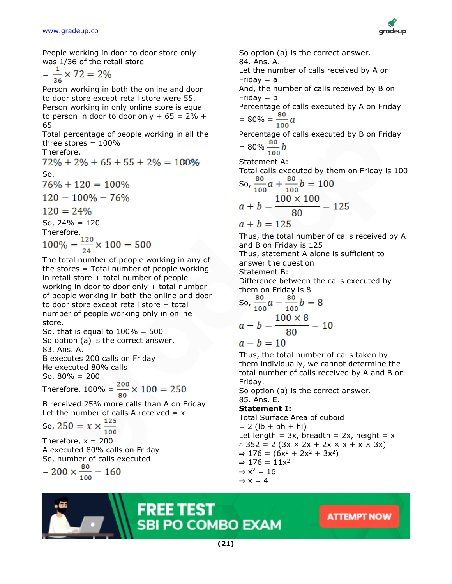

People working in door to door store only was 1/36 of the retail store

$$
=\frac{1}{36} \times 72 = 2\%
$$

Person working in both the online and door to door store except retail store were 55. Person working in only online store is equal to person in door to door only  $+ 65 = 2\% +$ 65

Total percentage of people working in all the three stores  $= 100\%$ 

Therefore,

 $72\% + 2\% + 65 + 55 + 2\% = 100\%$ So,  $76\% + 120 = 100\%$  $120 = 100\% - 76\%$  $120 = 24\%$ 

So,  $24\% = 120$ 

Therefore,

$$
100\% = \frac{120}{24} \times 100 = 500
$$

The total number of people working in any of the stores = Total number of people working in retail store  $+$  total number of people working in door to door only + total number of people working in both the online and door to door store except retail store + total number of people working only in online store.

So, that is equal to  $100\% = 500$ So option (a) is the correct answer. 83. Ans. A.

B executes 200 calls on Friday He executed 80% calls

So, 80% = 200

Therefore,  $100\% = \frac{200}{80} \times 100 = 250$ 

B received 25% more calls than A on Friday Let the number of calls A received  $= x$ 

So, 
$$
250 = x \times \frac{125}{100}
$$

Therefore,  $x = 200$ A executed 80% calls on Friday So, number of calls executed

$$
= 200 \times \frac{\text{80}}{\text{100}} = 160
$$

So option (a) is the correct answer. 84. Ans. A. Let the number of calls received by A on Friday  $=$  a And, the number of calls received by B on Friday  $= b$ Percentage of calls executed by A on Friday  $= 80\% = \frac{80}{100}a$ Percentage of calls executed by B on Friday  $= 80\% \frac{80}{100} b$ Statement A: Total calls executed by them on Friday is 100 So,  $\frac{80}{100}a + \frac{80}{100}b = 100$  $a + b = \frac{100 \times 100}{80} = 125$  $a + b = 125$ Thus, the total number of calls received by A and B on Friday is 125 Thus, statement A alone is sufficient to answer the question Statement B: Difference between the calls executed by them on Friday is 8 So,  $\frac{80}{100}a - \frac{80}{100}b = 8$  $a - b = \frac{100 \times 8}{80} = 10$  $a - b = 10$ Thus, the total number of calls taken by them individually, we cannot determine the total number of calls received by A and B on Friday. So option (a) is the correct answer. 85. Ans. E. **Statement I:**

Total Surface Area of cuboid  $= 2$  (lb + bh + hl) Let length =  $3x$ , breadth =  $2x$ , height =  $x$ ∴ 352 = 2 (3x × 2x + 2x × x + x × 3x)  $\Rightarrow$  176 = (6x<sup>2</sup> + 2x<sup>2</sup> + 3x<sup>2</sup>)  $\Rightarrow$  176 = 11x<sup>2</sup>  $\Rightarrow$  x<sup>2</sup> = 16  $\Rightarrow$  x = 4

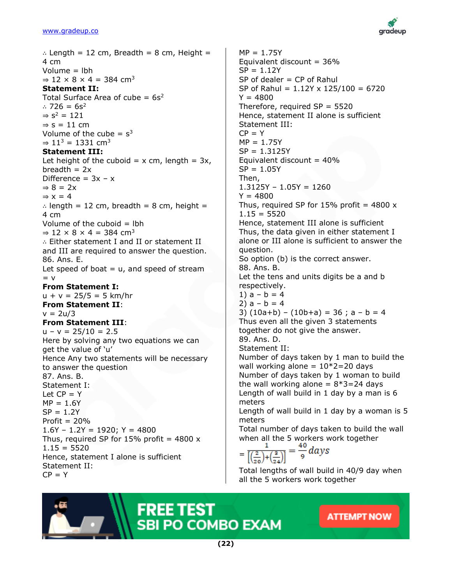

∴ Length = 12 cm, Breadth = 8 cm, Height = 4 cm Volume = lbh  $\Rightarrow$  12  $\times$  8  $\times$  4 = 384 cm<sup>3</sup> **Statement II:** Total Surface Area of cube  $= 6s^2$ ∴ 726 =  $6s^2$  $\Rightarrow$  s<sup>2</sup> = 121  $\Rightarrow$  s = 11 cm Volume of the cube =  $s^3$  $\Rightarrow$  11<sup>3</sup> = 1331 cm<sup>3</sup> **Statement III:** Let height of the cuboid =  $x$  cm, length =  $3x$ , breadth  $= 2x$ Difference =  $3x - x$  $\Rightarrow$  8 = 2x  $\Rightarrow$  x = 4 ∴ length = 12 cm, breadth = 8 cm, height = 4 cm Volume of the cuboid  $=$  lbh  $\Rightarrow$  12  $\times$  8  $\times$  4 = 384 cm<sup>3</sup> ∴ Either statement I and II or statement II and III are required to answer the question. 86. Ans. E. Let speed of boat  $= u$ , and speed of stream  $= v$ **From Statement I:**  $u + v = 25/5 = 5$  km/hr **From Statement II**:  $v = 2u/3$ **From Statement III**:  $u - v = 25/10 = 2.5$ Here by solving any two equations we can get the value of 'u' Hence Any two statements will be necessary to answer the question 87. Ans. B. Statement I: Let  $CP = Y$  $MP = 1.6Y$  $SP = 1.2Y$ Profit  $= 20%$  $1.6Y - 1.2Y = 1920$ ;  $Y = 4800$ Thus, required SP for  $15\%$  profit = 4800 x  $1.15 = 5520$ Hence, statement I alone is sufficient Statement II:  $CP = Y$ 

 $MP = 1.75Y$ Equivalent discount  $= 36\%$  $SP = 1.12Y$  $SP$  of dealer  $= CP$  of Rahul SP of Rahul =  $1.12Y \times 125/100 = 6720$  $Y = 4800$ Therefore, required  $SP = 5520$ Hence, statement II alone is sufficient Statement III:  $CP = Y$  $MP = 1.75Y$  $SP = 1.3125Y$ Equivalent discount  $= 40\%$  $SP = 1.05Y$ Then,  $1.3125Y - 1.05Y = 1260$  $Y = 4800$ Thus, required SP for  $15\%$  profit = 4800 x  $1.15 = 5520$ Hence, statement III alone is sufficient Thus, the data given in either statement I alone or III alone is sufficient to answer the question. So option (b) is the correct answer. 88. Ans. B. Let the tens and units digits be a and b respectively. 1)  $a - b = 4$ 2)  $a - b = 4$ 3)  $(10a+b) - (10b+a) = 36$ ;  $a - b = 4$ Thus even all the given 3 statements together do not give the answer. 89. Ans. D. Statement II: Number of days taken by 1 man to build the wall working alone =  $10*2=20$  days Number of days taken by 1 woman to build the wall working alone  $= 8*3=24$  days Length of wall build in 1 day by a man is 6 meters Length of wall build in 1 day by a woman is 5 meters Total number of days taken to build the wall when all the 5 workers work together  $\frac{1}{\left[\left(\frac{2}{20}\right)+\left(\frac{3}{24}\right)\right]} = \frac{40}{9} \text{ days}$ 

Total lengths of wall build in 40/9 day when all the 5 workers work together

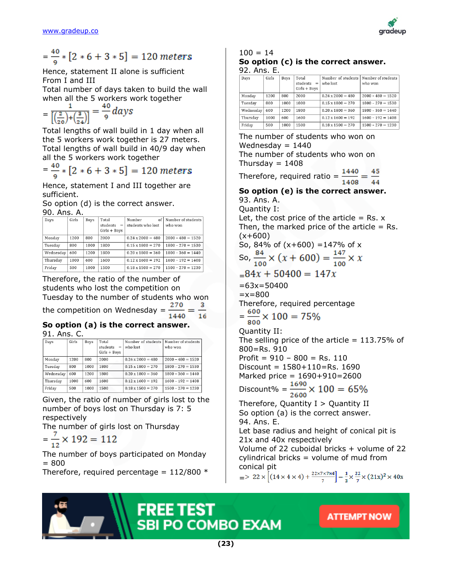

$$
=\frac{40}{9}*[2*6+3*5]=120
$$
 meters

Hence, statement II alone is sufficient From I and III

Total number of days taken to build the wall when all the 5 workers work together

 $=\frac{1}{\left|\left(\frac{2}{20}\right)+\left(\frac{3}{24}\right)\right|}=\frac{40}{9}days$ 

Total lengths of wall build in 1 day when all the 5 workers work together is 27 meters. Total lengths of wall build in 40/9 day when all the 5 workers work together

 $=\frac{40}{9}*[2*6+3*5] = 120$  meters

Hence, statement I and III together are sufficient.

So option (d) is the correct answer.

90. Ans. A.

| Days      | Girls | Boys | Total<br>students<br>$=$<br>$Girls + Boys$ | of<br>Number<br>students who lost | Number of students<br>who won |
|-----------|-------|------|--------------------------------------------|-----------------------------------|-------------------------------|
| Monday    | 1200  | 800  | 2000                                       | $0.24 \times 2000 = 480$          | $2000 - 480 = 1520$           |
| Tuesdav   | 800   | 1000 | 1800                                       | $0.15 \times 1800 = 270$          | $1800 - 270 = 1530$           |
| Wednesday | 600   | 1200 | 1800                                       | $0.20 \times 1800 = 360$          | $1800 - 360 = 1440$           |
| Thursday  | 1000  | 600  | 1600                                       | $0.12 \times 1600 = 192$          | $1600 - 192 = 1408$           |
| Friday    | 500   | 1000 | 1500                                       | $0.18 \times 1500 = 270$          | $1500 - 270 = 1230$           |

Therefore, the ratio of the number of students who lost the competition on Tuesday to the number of students who won

the competition on Wednesday =  $\frac{270}{1440}$  =

#### **So option (a) is the correct answer.** 91. Ans. C.

| Days      | Girls | Boys | Total<br>students<br>$=$<br>$Girls + Boys$ | Number of students<br>who lost | Number of students<br>who won |
|-----------|-------|------|--------------------------------------------|--------------------------------|-------------------------------|
| Monday    | 1200  | 800  | 2000                                       | $0.24 \times 2000 = 480$       | $2000 - 480 = 1520$           |
| Tuesday   | 800   | 1000 | 1800                                       | $0.15 \times 1800 = 270$       | $1800 - 270 = 1530$           |
| Wednesday | 600   | 1200 | 1800                                       | $0.20 \times 1800 = 360$       | $1800 - 360 = 1440$           |
| Thursday  | 1000  | 600  | 1600                                       | $0.12 \times 1600 = 192$       | $1600 - 192 = 1408$           |
| Friday    | 500   | 1000 | 1500                                       | $0.18 \times 1500 = 270$       | $1500 - 270 = 1230$           |

Given, the ratio of number of girls lost to the number of boys lost on Thursday is 7: 5 respectively

The number of girls lost on Thursday

$$
=\frac{7}{12} \times 192 = 112
$$

The number of boys participated on Monday = 800

Therefore, required percentage =  $112/800$  \*

#### $100 = 14$ **So option (c) is the correct answer.** 92. Ans. E.

| Days      | Girls | Boys | Total<br>students<br>$=$<br>$Girls + Boys$ | Number of students<br>who lost | Number of students<br>who won |
|-----------|-------|------|--------------------------------------------|--------------------------------|-------------------------------|
| Monday    | 1200  | 800  | 2000                                       | $0.24 \times 2000 = 480$       | $2000 - 480 = 1520$           |
| Tuesday   | 800   | 1000 | 1800                                       | $0.15 \times 1800 = 270$       | $1800 - 270 = 1530$           |
| Wednesdav | 600   | 1200 | 1800                                       | $0.20 \times 1800 = 360$       | $1800 - 360 = 1440$           |
| Thursday  | 1000  | 600  | 1600                                       | $0.12 \times 1600 = 192$       | $1600 - 192 = 1408$           |
| Friday    | 500   | 1000 | 1500                                       | $0.18 \times 1500 = 270$       | $1500 - 270 = 1230$           |

The number of students who won on Wednesday  $= 1440$ The number of students who won on Thursday  $= 1408$ 

Therefore, required ratio =  $\frac{1440}{1408}$  =  $\frac{45}{44}$ 

# **So option (e) is the correct answer.** 93. Ans. A.

Quantity I: Let, the cost price of the article  $=$  Rs.  $x$ Then, the marked price of the article  $=$  Rs.  $(x+600)$ So, 84% of  $(x+600) = 147%$  of x So,  $\frac{84}{100} \times (x + 600) = \frac{147}{100} \times x$  $= 84x + 50400 = 147x$  $=63x=50400$  $=x=800$ Therefore, required percentage  $=\frac{600}{800} \times 100 = 75\%$ Quantity II:

The selling price of the article  $= 113.75\%$  of 800=Rs. 910 Profit =  $910 - 800 =$  Rs. 110 Discount = 1580+110=Rs. 1690

Marked price = 1690+910=2600

Discount% =  $\frac{1690}{2600}$  × 100 = 65%

Therefore, Quantity  $I >$  Quantity II So option (a) is the correct answer. 94. Ans. E.

Let base radius and height of conical pit is 21x and 40x respectively

Volume of 22 cuboidal bricks + volume of 22 cylindrical bricks = volume of mud from conical pit

 $=$  > 22 ×  $\left[ (14 \times 4 \times 4) + \frac{22 \times 7 \times 7 \times 4}{7} \right] = \frac{1}{2} \times \frac{22}{7} \times (21x)^2 \times 40x$ 

**ATTEMPT NOW** 



**(23)**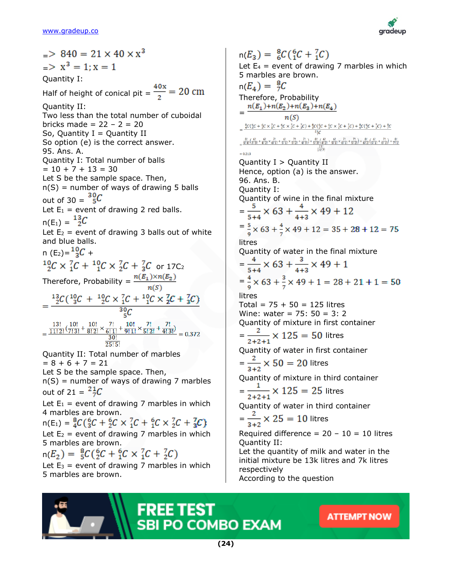

 $-$  840 = 21  $\times$  40  $\times$   $x^3$  $\geq x^3 = 1$ :  $x = 1$ Quantity I: Half of height of conical pit =  $\frac{40x}{2}$  = 20 cm Quantity II: Two less than the total number of cuboidal bricks made =  $22 - 2 = 20$ So, Quantity  $I =$  Quantity II So option (e) is the correct answer. 95. Ans. A. Quantity I: Total number of balls  $= 10 + 7 + 13 = 30$ Let S be the sample space. Then,  $n(S)$  = number of ways of drawing 5 balls out of 30 =  $\frac{^{30}C}{^{50}C}$ Let  $E_1$  = event of drawing 2 red balls.  $n(E_1) = \frac{13}{2}C$ Let  $E_2$  = event of drawing 3 balls out of white and blue balls. n (E<sub>2</sub>)= $\frac{10}{3}C$  +  $^{10}_{2}C \times ^{7}_{1}C + ^{10}_{1}C \times ^{7}_{2}C + ^{7}_{3}C$  or 17C<sub>2</sub> Therefore, Probability =  $\frac{n(E_1)\times n(E_2)}{n(S)}$  $=\frac{^{13}_{2}C(^{10}_{3}C~+~^{10}_{2}C\times{}_{1}^{7}C~+~^{10}_{1}C\times{}_{2}^{7}C~+~^{7}_{3}C)}{^{30}_{2}C}$  $=\frac{13!}{11! \cdot 2!}(\frac{10!}{7! \cdot 3!}+\frac{10!}{8! \cdot 2!} \times \frac{7!}{6! \cdot 1!}+\frac{10!}{9! \cdot 1!} \times \frac{7!}{5! \cdot 2!}+\frac{7!}{4! \cdot 3!})}{30!}$  $25!5!$ Quantity II: Total number of marbles  $= 8 + 6 + 7 = 21$ Let S be the sample space. Then,  $n(S)$  = number of ways of drawing 7 marbles out of 21 =  $^{21}C$ Let  $E_1$  = event of drawing 7 marbles in which 4 marbles are brown.  $n(E_1) = \frac{8}{4}C(\frac{6}{3}C + \frac{6}{2}C \times \frac{7}{1}C + \frac{6}{1}C \times \frac{7}{2}C + \frac{7}{3}C)$ Let  $E_2$  = event of drawing 7 marbles in which 5 marbles are brown.  $n(E_2) = \frac{8}{5}C(5C + 5C \times 7C + 7C)$ Let  $E_3$  = event of drawing 7 marbles in which 5 marbles are brown.

 $n(E_3) = {8 \over 6} C({6 \over 1}C + {7 \over 1}C)$ Let  $E_4$  = event of drawing 7 marbles in which 5 marbles are brown.  $n(E_4) = \frac{8}{7}C$ Therefore, Probability<br> $n(E_1)+n(E_2)+n(E_3)+n(E_4)$ =  $\sqrt{\frac{n(S)}{\sum_{i=1}^{8} C(\frac{6}{3}C + \frac{6}{3}C \times \frac{7}{3}C + \frac{6}{3}C \times \frac{7}{3}C + \frac{2}{3}C) + \frac{8}{3}C(\frac{6}{3}C + \frac{6}{3}C \times \frac{7}{3}C + \frac{7}{3}C) + \frac{8}{3}C(\frac{6}{3}C + \frac{7}{3}C) + \frac{8}{3}C(\frac{6}{3}C + \frac{7}{3}C) + \frac{8}{3}C(\frac{6}{3}C + \frac{7}{3}C) + \frac{8}{3}C(\frac{6}{3}C$  $=\frac{8!}{4!4!}(\frac{6!}{3!3!}+\frac{6!}{4!2!}\times\frac{7!}{6!1!}+\frac{6!}{5!1!}\times\frac{7!}{5!2!}+\frac{7!}{4!3!})+\frac{8!}{5!3!}(\frac{6!}{4!2!}+\frac{6!}{5!1!}\times\frac{7!}{6!1!}+\frac{7!}{5!2!})+\frac{8!}{6!2!}(\frac{6!}{5!1!}+\frac{7!}{6!1!})+\frac{8!}{7!1!})$ Quantity  $I >$  Quantity II Hence, option (a) is the answer. 96. Ans. B. Quantity I: Quantity of wine in the final mixture  $=\frac{5}{5+4} \times 63 + \frac{4}{4+3} \times 49 + 12$  $=\frac{5}{9} \times 63 + \frac{4}{7} \times 49 + 12 = 35 + 28 + 12 = 75$ litres Quantity of water in the final mixture  $=\frac{4}{5+4}\times 63+\frac{3}{4+3}\times 49+1$  $=\frac{4}{9} \times 63 + \frac{3}{7} \times 49 + 1 = 28 + 21 + 1 = 50$ litres Total = 75 + 50 = 125 litres Wine: water = 75: 50 = 3: 2 Quantity of mixture in first container  $=\frac{2}{2+2+1} \times 125 = 50$  litres Quantity of water in first container  $=\frac{2}{3+2} \times 50 = 20$  litres Quantity of mixture in third container  $=\frac{1}{2+2+1} \times 125 = 25$  litres Quantity of water in third container  $=\frac{2}{3+2} \times 25 = 10$  litres Required difference =  $20 - 10 = 10$  litres Quantity II: Let the quantity of milk and water in the initial mixture be 13k litres and 7k litres respectively According to the question



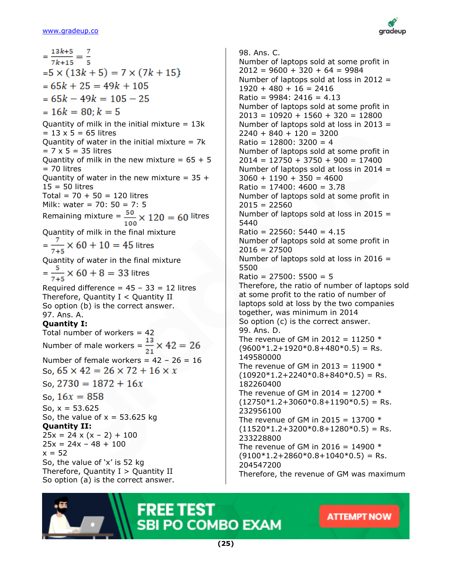

 $=\frac{13k+5}{7k+15}=\frac{7}{5}$  $= 5 \times (13k + 5) = 7 \times (7k + 15)$  $= 65k + 25 = 49k + 105$  $= 65k - 49k = 105 - 25$  $= 16k = 80$ :  $k = 5$ Quantity of milk in the initial mixture  $= 13k$  $= 13 \times 5 = 65$  litres Quantity of water in the initial mixture  $= 7k$  $= 7 \times 5 = 35$  litres Quantity of milk in the new mixture =  $65 + 5$ = 70 litres Quantity of water in the new mixture =  $35 +$ 15 = 50 litres Total =  $70 + 50 = 120$  litres Milk: water = 70: 50 = 7: 5 Remaining mixture =  $\frac{50}{100} \times 120 = 60$  litres Quantity of milk in the final mixture  $=\frac{7}{7+5} \times 60 + 10 = 45$  litres Quantity of water in the final mixture  $=\frac{5}{7+5} \times 60 + 8 = 33$  litres Required difference =  $45 - 33 = 12$  litres Therefore, Quantity  $I <$  Quantity II So option (b) is the correct answer. 97. Ans. A. **Quantity I:** Total number of workers  $= 42$ Number of male workers =  $\frac{13}{21} \times 42 = 26$ Number of female workers =  $42 - 26 = 16$ So,  $65 \times 42 = 26 \times 72 + 16 \times x$ So,  $2730 = 1872 + 16x$ So,  $16x = 858$ So,  $x = 53.625$ So, the value of  $x = 53.625$  kg **Quantity II:**  $25x = 24 \times (x - 2) + 100$  $25x = 24x - 48 + 100$  $x = 52$ So, the value of 'x' is 52 kg Therefore, Quantity  $I >$  Quantity II So option (a) is the correct answer.

98. Ans. C. Number of laptops sold at some profit in  $2012 = 9600 + 320 + 64 = 9984$ Number of laptops sold at loss in 2012 =  $1920 + 480 + 16 = 2416$  $Ratio = 9984: 2416 = 4.13$ Number of laptops sold at some profit in  $2013 = 10920 + 1560 + 320 = 12800$ Number of laptops sold at loss in 2013 =  $2240 + 840 + 120 = 3200$  $Ratio = 12800: 3200 = 4$ Number of laptops sold at some profit in  $2014 = 12750 + 3750 + 900 = 17400$ Number of laptops sold at loss in 2014 =  $3060 + 1190 + 350 = 4600$ Ratio = 17400: 4600 = 3.78 Number of laptops sold at some profit in  $2015 = 22560$ Number of laptops sold at loss in 2015 = 5440  $Ratio = 22560: 5440 = 4.15$ Number of laptops sold at some profit in 2016 = 27500 Number of laptops sold at loss in 2016 = 5500 Ratio = 27500: 5500 = 5 Therefore, the ratio of number of laptops sold at some profit to the ratio of number of laptops sold at loss by the two companies together, was minimum in 2014 So option (c) is the correct answer. 99. Ans. D. The revenue of GM in 2012 = 11250  $*$  $(9600*1.2+1920*0.8+480*0.5)$  = Rs. 149580000 The revenue of GM in 2013 = 11900  $*$  $(10920 * 1.2 + 2240 * 0.8 + 840 * 0.5) =$ Rs. 182260400 The revenue of GM in 2014 = 12700  $*$  $(12750 * 1.2 + 3060 * 0.8 + 1190 * 0.5) =$ Rs. 232956100 The revenue of GM in 2015 = 13700  $*$  $(11520 * 1.2 + 3200 * 0.8 + 1280 * 0.5) =$ Rs. 233228800 The revenue of GM in 2016 = 14900  $*$  $(9100*1.2+2860*0.8+1040*0.5)$  = Rs. 204547200 Therefore, the revenue of GM was maximum

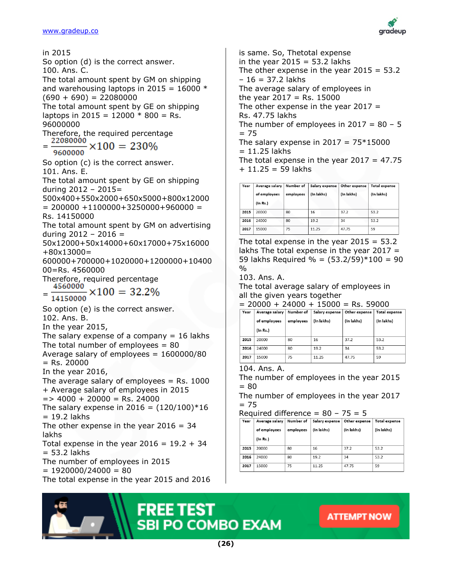

is same. So, Thetotal expense in the year  $2015 = 53.2$  lakhs The other expense in the year  $2015 = 53.2$ – 16 = 37.2 lakhs The average salary of employees in the year  $2017 =$  Rs. 15000 The other expense in the year  $2017 =$ Rs. 47.75 lakhs The number of employees in  $2017 = 80 - 5$  $= 75$ The salary expense in  $2017 = 75*15000$  $= 11.25$  lakhs The total expense in the year  $2017 = 47.75$  $+ 11.25 = 59$  lakhs

| Year | Average salary | Number of | Salary expense | Other expense | Total expense |
|------|----------------|-----------|----------------|---------------|---------------|
|      | of employees   | employees | (In lakhs)     | (In lakhs)    | (In lakhs)    |
|      | (In Rs.)       |           |                |               |               |
| 2015 | 20000          | 80        | 16             | 37.2          | 53.2          |
| 2016 | 24000          | 80        | 19.2           | 34            | 53.2          |
| 2017 | 15000          | 75        | 11.25          | 47.75         | 59            |

The total expense in the year  $2015 = 53.2$ lakhs The total expense in the year  $2017 =$ 59 lakhs Required % =  $(53.2/59)*100 = 90$ %

103. Ans. A.

The total average salary of employees in all the given years together

|  |  |  | $= 20000 + 24000 + 15000 = \text{Rs.}$ 59000 |  |  |  |
|--|--|--|----------------------------------------------|--|--|--|
|--|--|--|----------------------------------------------|--|--|--|

| Year | Average salary | Number of | Salary expense | Other expense | <b>Total expense</b> |
|------|----------------|-----------|----------------|---------------|----------------------|
|      | of employees   | employees | (In lakhs)     | (In lakhs)    | (In lakhs)           |
|      | (In Rs.)       |           |                |               |                      |
| 2015 | 20000          | 80        | 16             | 37.2          | 53.2                 |
| 2016 | 24000          | 80        | 19.2           | 34            | 53.2                 |
| 2017 | 15000          | 75        | 11.25          | 47.75         | 59                   |

#### 104. Ans. A.

The number of employees in the year 2015  $= 80$ 

The number of employees in the year 2017  $= 75$ 

Required difference =  $80 - 75 = 5$ 

| Year | Average salary | Number of | Salary expense | Other expense | <b>Total expense</b> |
|------|----------------|-----------|----------------|---------------|----------------------|
|      | of employees   | employees | (In lakhs)     | (In lakhs)    | (In lakhs)           |
|      | (In Rs.)       |           |                |               |                      |
| 2015 | 20000          | 80        | 16             | 37.2          | 53.2                 |
| 2016 | 24000          | 80        | 19.2           | 34            | 53.2                 |
| 2017 | 15000          | 75        | 11.25          | 47.75         | 59                   |





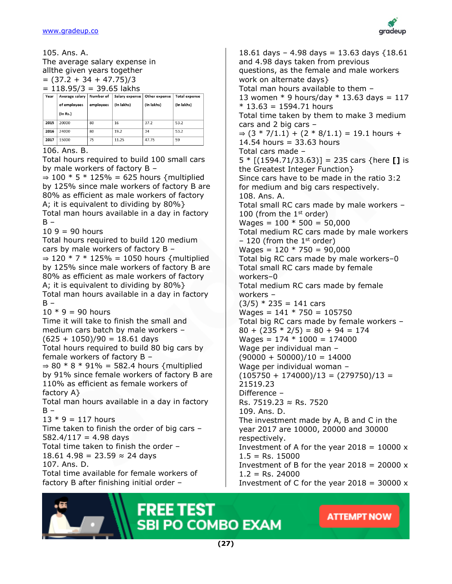

105. Ans. A.

The average salary expense in allthe given years together  $= (37.2 + 34 + 47.75)/3$  $= 118.95/3 = 39.65$  lakhs

| Year | Average salary | Number of | Salary expense | Other expense | Total expense |
|------|----------------|-----------|----------------|---------------|---------------|
|      | of employees   | employees | (In lakhs)     | (In lakhs)    | (In lakhs)    |
|      | (In Rs.)       |           |                |               |               |
| 2015 | 20000          | 80        | 16             | 37.2          | 53.2          |
| 2016 | 24000          | 80        | 19.2           | 34            | 53.2          |
| 2017 | 15000          | 75        | 11.25          | 47.75         | 59            |

#### 106. Ans. B.

Total hours required to build 100 small cars by male workers of factory B –

⇒ 100  $*$  5  $*$  125% = 625 hours {multiplied by 125% since male workers of factory B are 80% as efficient as male workers of factory A; it is equivalent to dividing by 80%} Total man hours available in a day in factory  $B -$ 

 $109 = 90$  hours

Total hours required to build 120 medium cars by male workers of factory B – ⇒ 120  $*$  7  $*$  125% = 1050 hours {multiplied by 125% since male workers of factory B are 80% as efficient as male workers of factory A; it is equivalent to dividing by 80%} Total man hours available in a day in factory  $B -$ 

 $10 * 9 = 90$  hours

Time it will take to finish the small and medium cars batch by male workers –  $(625 + 1050)/90 = 18.61$  days

Total hours required to build 80 big cars by female workers of factory B –

 $\Rightarrow$  80  $*$  8  $*$  91% = 582.4 hours {multiplied by 91% since female workers of factory B are 110% as efficient as female workers of factory A}

Total man hours available in a day in factory  $B -$ 

 $13 * 9 = 117$  hours

Time taken to finish the order of big cars –  $582.4/117 = 4.98$  days Total time taken to finish the order – 18.61 4.98 = 23.59  $\approx$  24 days

107. Ans. D.

Total time available for female workers of factory B after finishing initial order –

18.61 days - 4.98 days = 13.63 days  ${18.61}$ and 4.98 days taken from previous questions, as the female and male workers work on alternate days} Total man hours available to them – 13 women  $*$  9 hours/day  $*$  13.63 days = 117  $* 13.63 = 1594.71$  hours Total time taken by them to make 3 medium cars and 2 big cars – ⇒  $(3 * 7/1.1) + (2 * 8/1.1) = 19.1$  hours +  $14.54$  hours = 33.63 hours Total cars made – 5 \* [(1594.71/33.63)] = 235 cars {here **[]** is the Greatest Integer Function} Since cars have to be made in the ratio 3:2 for medium and big cars respectively. 108. Ans. A. Total small RC cars made by male workers – 100 (from the  $1<sup>st</sup>$  order)  $Wages = 100 * 500 = 50,000$ Total medium RC cars made by male workers  $-120$  (from the 1<sup>st</sup> order)  $Wages = 120 * 750 = 90,000$ Total big RC cars made by male workers–0 Total small RC cars made by female workers–0 Total medium RC cars made by female workers –  $(3/5) * 235 = 141 \text{ cars}$  $Wages = 141 * 750 = 105750$ Total big RC cars made by female workers –  $80 + (235 * 2/5) = 80 + 94 = 174$  $Wages = 174 * 1000 = 174000$ Wage per individual man –  $(90000 + 50000)/10 = 14000$ Wage per individual woman –  $(105750 + 174000)/13 = (279750)/13 =$ 21519.23 Difference – Rs. 7519.23 ≈ Rs. 7520 109. Ans. D. The investment made by A, B and C in the year 2017 are 10000, 20000 and 30000 respectively. Investment of A for the year  $2018 = 10000 \times$  $1.5 =$  Rs. 15000 Investment of B for the year  $2018 = 20000 \times$  $1.2$  = Rs. 24000 Investment of C for the year  $2018 = 30000 \times$ 

**ATTEMPT NOW** 



**(27)**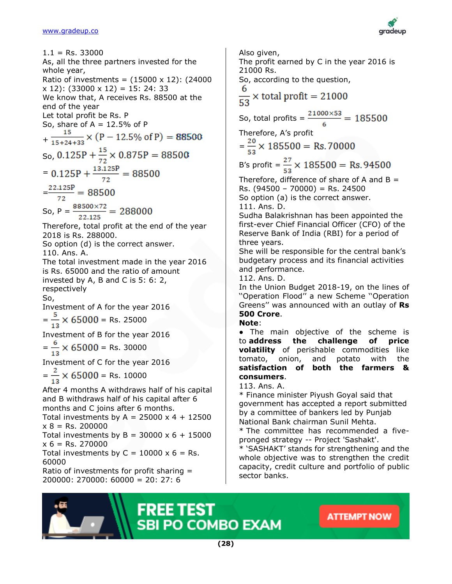

 $1.1$  = Rs. 33000 As, all the three partners invested for the whole year, Ratio of investments =  $(15000 \times 12)$ :  $(24000$ x 12): (33000 x 12) = 15: 24: 33 We know that, A receives Rs. 88500 at the end of the year Let total profit be Rs. P So, share of  $A = 12.5%$  of P  $+\frac{15}{15+24+33} \times (P-12.5\% \text{ of } P) = 88500$ So,  $0.125P + \frac{15}{72} \times 0.875P = 88500$ =  $0.125P + \frac{13.125P}{72} = 88500$  $=\frac{22.125P}{72}=88500$ So,  $P = \frac{88500 \times 72}{22.125} = 288000$ Therefore, total profit at the end of the year 2018 is Rs. 288000. So option (d) is the correct answer. 110. Ans. A. The total investment made in the year 2016 is Rs. 65000 and the ratio of amount invested by A, B and C is 5: 6: 2, respectively So, Investment of A for the year 2016  $=\frac{5}{12} \times 65000 =$  Rs. 25000 Investment of B for the year 2016  $=\frac{6}{12} \times 65000 =$  Rs. 30000 Investment of C for the year 2016  $=\frac{2}{13} \times 65000 =$  Rs. 10000 After 4 months A withdraws half of his capital and B withdraws half of his capital after 6 months and C joins after 6 months. Total investments by A =  $25000 \times 4 + 12500$  $x 8 = Rs. 200000$ Total investments by  $B = 30000 \times 6 + 15000$  $x 6 = Rs. 270000$ Total investments by  $C = 10000 \times 6 = \text{Rs}.$ 60000 Ratio of investments for profit sharing = 200000: 270000: 60000 = 20: 27: 6

Also given, The profit earned by C in the year 2016 is 21000 Rs. So, according to the question,  $\frac{6}{53}$  × total profit = 21000 So, total profits =  $\frac{21000\times53}{6}$  = 185500 Therefore, A's profit  $=\frac{20}{52} \times 185500 = \text{Rs.}70000$ B's profit =  $\frac{27}{53}$  × 185500 = Rs. 94500 Therefore, difference of share of A and  $B =$  $Rs. (94500 - 70000) = Rs. 24500$ So option (a) is the correct answer. 111. Ans. D. Sudha Balakrishnan has been appointed the first-ever Chief Financial Officer (CFO) of the Reserve Bank of India (RBI) for a period of three years. She will be responsible for the central bank's budgetary process and its financial activities and performance. 112. Ans. D. In the Union Budget 2018-19, on the lines of ''Operation Flood'' a new Scheme ''Operation Greens'' was announced with an outlay of **Rs 500 Crore**. **Note**: ● The main objective of the scheme is to **address the challenge of price volatility** of perishable commodities like tomato, onion, and potato with the **satisfaction of both the farmers & consumers**. 113. Ans. A. \* Finance minister Piyush Goyal said that government has accepted a report submitted by a committee of bankers led by Punjab National Bank chairman Sunil Mehta. \* The committee has recommended a fivepronged strategy -- Project 'Sashakt'. \* 'SASHAKT' stands for strengthening and the whole objective was to strengthen the credit capacity, credit culture and portfolio of public

**ATTEMPT NOW** 



sector banks.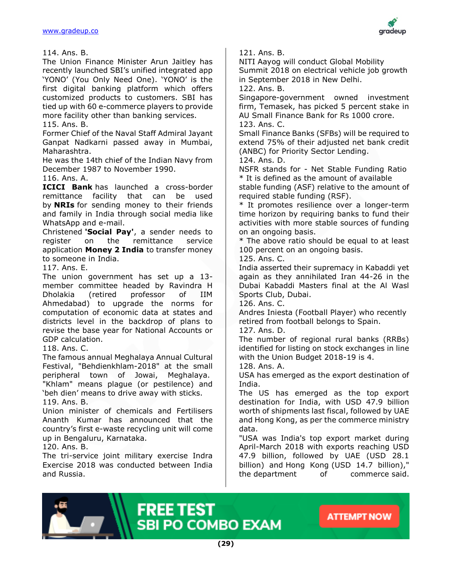

114. Ans. B.

The Union Finance Minister Arun Jaitley has recently launched SBI's unified integrated app 'YONO' (You Only Need One). 'YONO' is the first digital banking platform which offers customized products to customers. SBI has tied up with 60 e-commerce players to provide more facility other than banking services.

115. Ans. B.

Former Chief of the Naval Staff Admiral Jayant Ganpat Nadkarni passed away in Mumbai, Maharashtra.

He was the 14th chief of the Indian Navy from December 1987 to November 1990.

116. Ans. A.

**ICICI Bank** has launched a cross-border remittance facility that can be used by **NRIs** for sending money to their friends and family in India through social media like WhatsApp and e-mail.

Christened **'Social Pay'**, a sender needs to register on the remittance service application **Money 2 India** to transfer money to someone in India.

117. Ans. E.

The union government has set up a 13 member committee headed by Ravindra H Dholakia (retired professor of IIM Ahmedabad) to upgrade the norms for computation of economic data at states and districts level in the backdrop of plans to revise the base year for National Accounts or GDP calculation.

118. Ans. C.

The famous annual Meghalaya Annual Cultural Festival, "Behdienkhlam-2018" at the small peripheral town of Jowai, Meghalaya.

"Khlam" means plague (or pestilence) and 'beh dien' means to drive away with sticks. 119. Ans. B.

Union minister of chemicals and Fertilisers Ananth Kumar has announced that the country's first e-waste recycling unit will come up in Bengaluru, Karnataka.

120. Ans. B.

The tri-service joint military exercise Indra Exercise 2018 was conducted between India and Russia.

121. Ans. B.

NITI Aayog will conduct Global Mobility Summit 2018 on electrical vehicle job growth in September 2018 in New Delhi.

122. Ans. B.

Singapore-government owned investment firm, Temasek, has picked 5 percent stake in AU Small Finance Bank for Rs 1000 crore. 123. Ans. C.

Small Finance Banks (SFBs) will be required to extend 75% of their adjusted net bank credit (ANBC) for Priority Sector Lending.

124. Ans. D.

NSFR stands for - Net Stable Funding Ratio \* It is defined as the amount of available

stable funding (ASF) relative to the amount of required stable funding (RSF).

\* It promotes resilience over a longer-term time horizon by requiring banks to fund their activities with more stable sources of funding on an ongoing basis.

\* The above ratio should be equal to at least 100 percent on an ongoing basis.

125. Ans. C.

India asserted their supremacy in Kabaddi yet again as they annihilated Iran 44-26 in the Dubai Kabaddi Masters final at the Al Wasl Sports Club, Dubai.

126. Ans. C.

Andres Iniesta (Football Player) who recently retired from football belongs to Spain.

127. Ans. D.

The number of regional rural banks (RRBs) identified for listing on stock exchanges in line with the Union Budget 2018-19 is 4.

128. Ans. A.

USA has emerged as the export destination of India.

The US has emerged as the top export destination for India, with USD 47.9 billion worth of shipments last fiscal, followed by UAE and Hong Kong, as per the commerce ministry data.

"USA was India's top export market during April-March 2018 with exports reaching USD 47.9 billion, followed by UAE (USD 28.1 billion) and Hong Kong (USD 14.7 billion)," the department of commerce said.

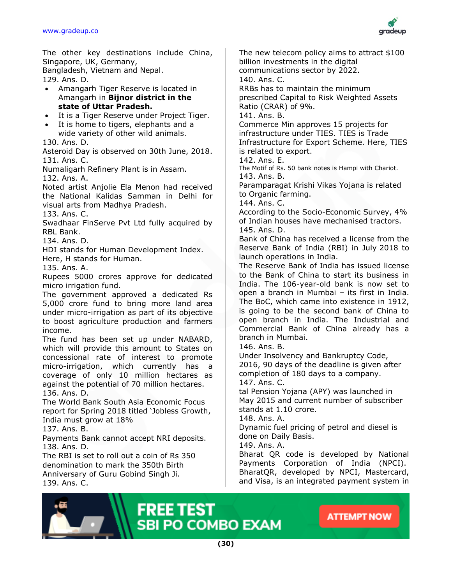

The other key destinations include China, Singapore, UK, Germany,

Bangladesh, Vietnam and Nepal.

129. Ans. D.

- Amangarh Tiger Reserve is located in Amangarh in **Bijnor district in the state of Uttar Pradesh.**
- It is a Tiger Reserve under Project Tiger.
- It is home to tigers, elephants and a wide variety of other wild animals.

130. Ans. D.

Asteroid Day is observed on 30th June, 2018. 131. Ans. C.

Numaligarh Refinery Plant is in Assam. 132. Ans. A.

Noted artist Anjolie Ela Menon had received the National Kalidas Samman in Delhi for visual arts from Madhya Pradesh.

133. Ans. C.

Swadhaar FinServe Pvt Ltd fully acquired by RBL Bank.

134. Ans. D.

HDI stands for Human Development Index.

Here, H stands for Human.

135. Ans. A.

Rupees 5000 crores approve for dedicated micro irrigation fund.

The government approved a dedicated Rs 5,000 crore fund to bring more land area under micro-irrigation as part of its objective to boost agriculture production and farmers income.

The fund has been set up under NABARD, which will provide this amount to States on concessional rate of interest to promote micro-irrigation, which currently has a coverage of only 10 million hectares as against the potential of 70 million hectares. 136. Ans. D.

The World Bank South Asia Economic Focus report for Spring 2018 titled 'Jobless Growth, India must grow at 18%

137. Ans. B.

Payments Bank cannot accept NRI deposits. 138. Ans. D.

The RBI is set to roll out a coin of Rs 350 denomination to mark the 350th Birth Anniversary of Guru Gobind Singh Ji. 139. Ans. C.

The new telecom policy aims to attract \$100 billion investments in the digital communications sector by 2022. 140. Ans. C. RRBs has to maintain the minimum prescribed Capital to Risk Weighted Assets Ratio (CRAR) of 9%. 141. Ans. B. Commerce Min approves 15 projects for infrastructure under TIES. TIES is Trade Infrastructure for Export Scheme. Here, TIES is related to export. 142. Ans. E. The Motif of Rs. 50 bank notes is Hampi with Chariot. 143. Ans. B. Paramparagat Krishi Vikas Yojana is related to Organic farming. 144. Ans. C. According to the Socio-Economic Survey, 4% of Indian houses have mechanised tractors. 145. Ans. D. Bank of China has received a license from the Reserve Bank of India (RBI) in July 2018 to launch operations in India. The Reserve Bank of India has issued license to the Bank of China to start its business in India. The 106-year-old bank is now set to open a branch in Mumbai – its first in India. The BoC, which came into existence in 1912, is going to be the second bank of China to open branch in India. The Industrial and Commercial Bank of China already has a branch in Mumbai. 146. Ans. B. Under Insolvency and Bankruptcy Code, 2016, 90 days of the deadline is given after completion of 180 days to a company.

147. Ans. C.

tal Pension Yojana (APY) was launched in May 2015 and current number of subscriber stands at 1.10 crore.

148. Ans. A.

Dynamic fuel pricing of petrol and diesel is done on Daily Basis.

149. Ans. A.

Bharat QR code is developed by National Payments Corporation of India (NPCI). BharatQR, developed by NPCI, Mastercard, and Visa, is an integrated payment system in